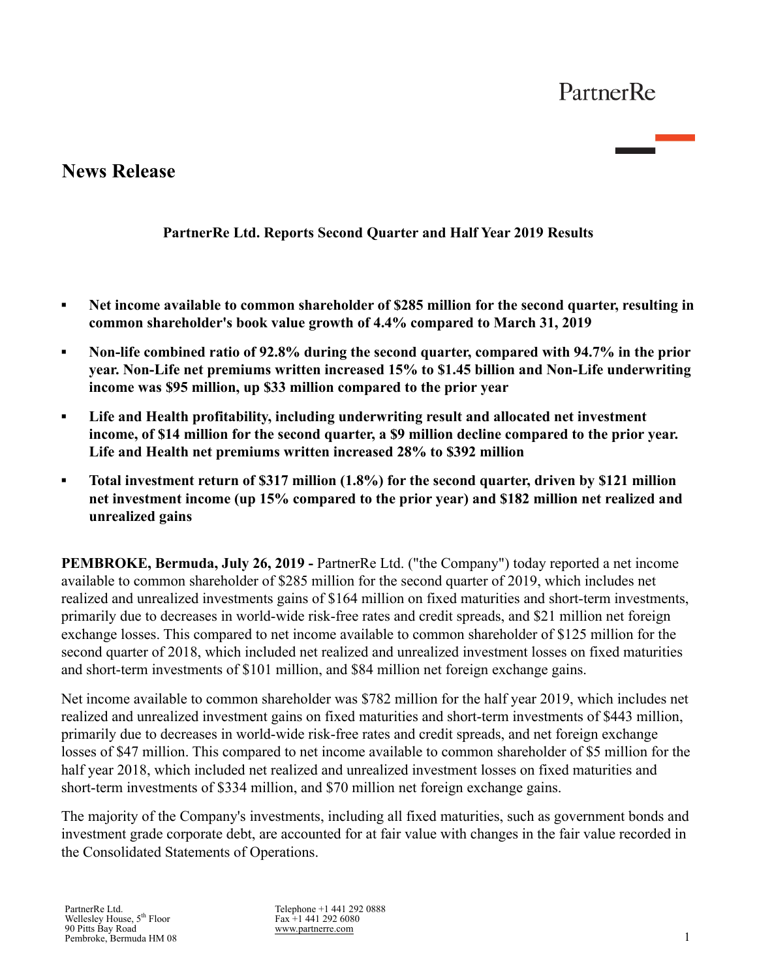# **News Release**

### **PartnerRe Ltd. Reports Second Quarter and Half Year 2019 Results**

- **▪ Net income available to common shareholder of \$285 million for the second quarter, resulting in common shareholder's book value growth of 4.4% compared to March 31, 2019**
- **▪ Non-life combined ratio of 92.8% during the second quarter, compared with 94.7% in the prior year. Non-Life net premiums written increased 15% to \$1.45 billion and Non-Life underwriting income was \$95 million, up \$33 million compared to the prior year**
- **▪ Life and Health profitability, including underwriting result and allocated net investment income, of \$14 million for the second quarter, a \$9 million decline compared to the prior year. Life and Health net premiums written increased 28% to \$392 million**
- **▪ Total investment return of \$317 million (1.8%) for the second quarter, driven by \$121 million net investment income (up 15% compared to the prior year) and \$182 million net realized and unrealized gains**

**PEMBROKE, Bermuda, July 26, 2019 -** PartnerRe Ltd. ("the Company") today reported a net income available to common shareholder of \$285 million for the second quarter of 2019, which includes net realized and unrealized investments gains of \$164 million on fixed maturities and short-term investments, primarily due to decreases in world-wide risk-free rates and credit spreads, and \$21 million net foreign exchange losses. This compared to net income available to common shareholder of \$125 million for the second quarter of 2018, which included net realized and unrealized investment losses on fixed maturities and short-term investments of \$101 million, and \$84 million net foreign exchange gains.

Net income available to common shareholder was \$782 million for the half year 2019, which includes net realized and unrealized investment gains on fixed maturities and short-term investments of \$443 million, primarily due to decreases in world-wide risk-free rates and credit spreads, and net foreign exchange losses of \$47 million. This compared to net income available to common shareholder of \$5 million for the half year 2018, which included net realized and unrealized investment losses on fixed maturities and short-term investments of \$334 million, and \$70 million net foreign exchange gains.

The majority of the Company's investments, including all fixed maturities, such as government bonds and investment grade corporate debt, are accounted for at fair value with changes in the fair value recorded in the Consolidated Statements of Operations.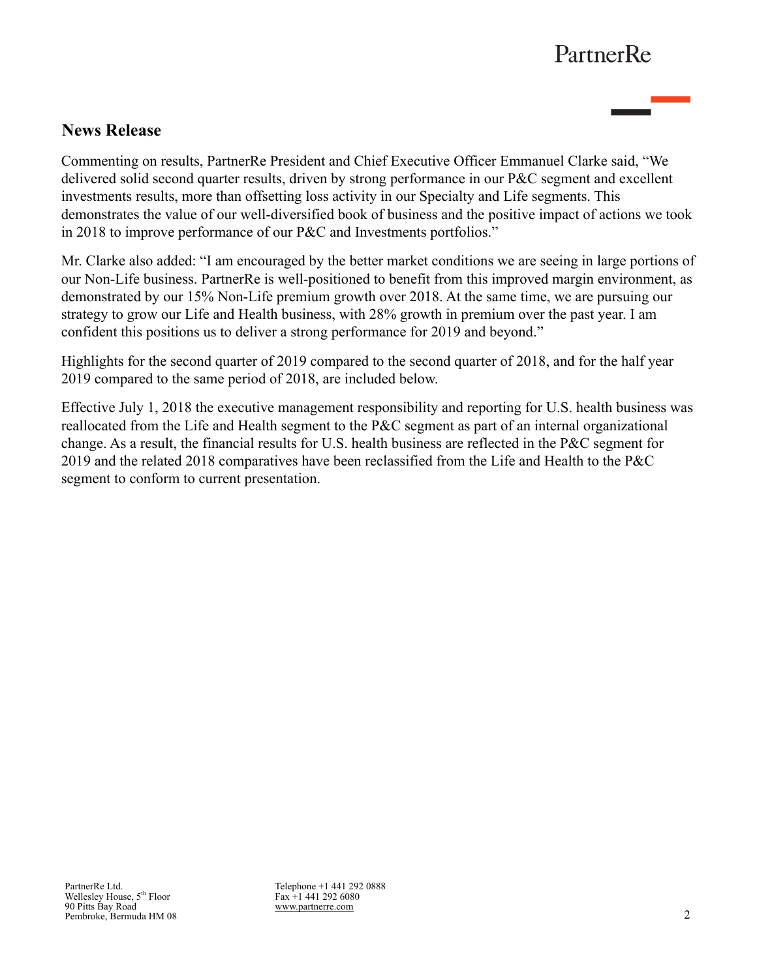## **News Release**

Commenting on results, PartnerRe President and Chief Executive Officer Emmanuel Clarke said, "We delivered solid second quarter results, driven by strong performance in our P&C segment and excellent investments results, more than offsetting loss activity in our Specialty and Life segments. This demonstrates the value of our well-diversified book of business and the positive impact of actions we took in 2018 to improve performance of our P&C and Investments portfolios."

Mr. Clarke also added: "I am encouraged by the better market conditions we are seeing in large portions of our Non-Life business. PartnerRe is well-positioned to benefit from this improved margin environment, as demonstrated by our 15% Non-Life premium growth over 2018. At the same time, we are pursuing our strategy to grow our Life and Health business, with 28% growth in premium over the past year. I am confident this positions us to deliver a strong performance for 2019 and beyond."

Highlights for the second quarter of 2019 compared to the second quarter of 2018, and for the half year 2019 compared to the same period of 2018, are included below.

Effective July 1, 2018 the executive management responsibility and reporting for U.S. health business was reallocated from the Life and Health segment to the P&C segment as part of an internal organizational change. As a result, the financial results for U.S. health business are reflected in the P&C segment for 2019 and the related 2018 comparatives have been reclassified from the Life and Health to the P&C segment to conform to current presentation.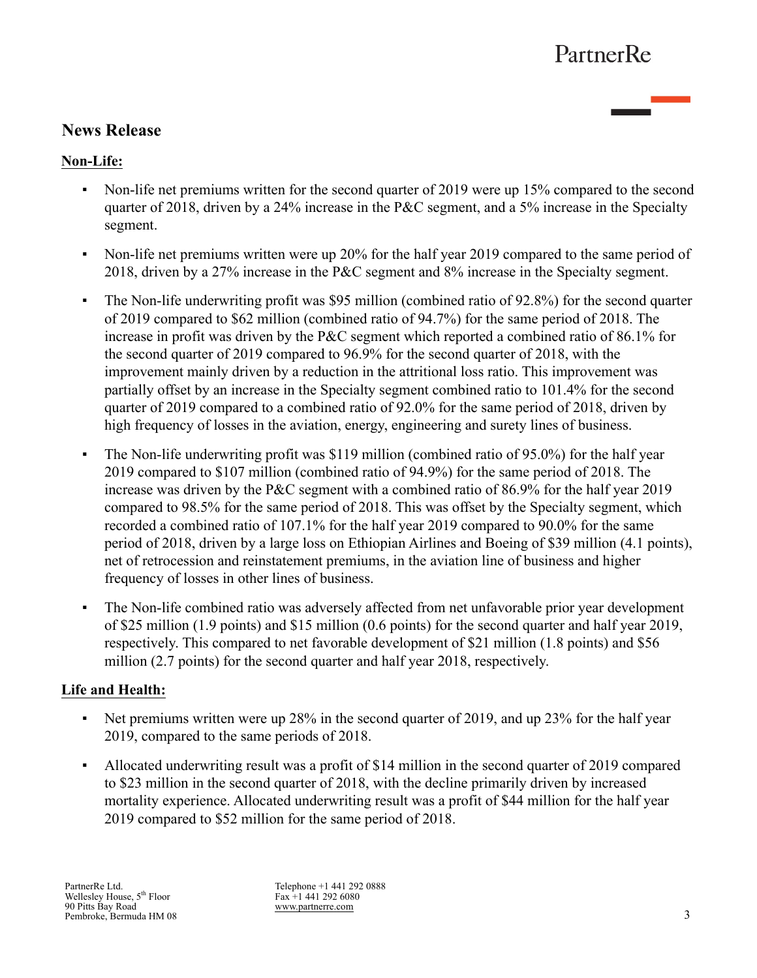## **News Release**

### **Non-Life:**

- Non-life net premiums written for the second quarter of 2019 were up 15% compared to the second quarter of 2018, driven by a 24% increase in the P&C segment, and a 5% increase in the Specialty segment.
- Non-life net premiums written were up 20% for the half year 2019 compared to the same period of 2018, driven by a 27% increase in the P&C segment and 8% increase in the Specialty segment.
- The Non-life underwriting profit was \$95 million (combined ratio of 92.8%) for the second quarter of 2019 compared to \$62 million (combined ratio of 94.7%) for the same period of 2018. The increase in profit was driven by the P&C segment which reported a combined ratio of 86.1% for the second quarter of 2019 compared to 96.9% for the second quarter of 2018, with the improvement mainly driven by a reduction in the attritional loss ratio. This improvement was partially offset by an increase in the Specialty segment combined ratio to 101.4% for the second quarter of 2019 compared to a combined ratio of 92.0% for the same period of 2018, driven by high frequency of losses in the aviation, energy, engineering and surety lines of business.
- The Non-life underwriting profit was \$119 million (combined ratio of 95.0%) for the half year 2019 compared to \$107 million (combined ratio of 94.9%) for the same period of 2018. The increase was driven by the P&C segment with a combined ratio of 86.9% for the half year 2019 compared to 98.5% for the same period of 2018. This was offset by the Specialty segment, which recorded a combined ratio of 107.1% for the half year 2019 compared to 90.0% for the same period of 2018, driven by a large loss on Ethiopian Airlines and Boeing of \$39 million (4.1 points), net of retrocession and reinstatement premiums, in the aviation line of business and higher frequency of losses in other lines of business.
- The Non-life combined ratio was adversely affected from net unfavorable prior year development of \$25 million (1.9 points) and \$15 million (0.6 points) for the second quarter and half year 2019, respectively. This compared to net favorable development of \$21 million (1.8 points) and \$56 million (2.7 points) for the second quarter and half year 2018, respectively.

### **Life and Health:**

- Net premiums written were up 28% in the second quarter of 2019, and up 23% for the half year 2019, compared to the same periods of 2018.
- Allocated underwriting result was a profit of \$14 million in the second quarter of 2019 compared to \$23 million in the second quarter of 2018, with the decline primarily driven by increased mortality experience. Allocated underwriting result was a profit of \$44 million for the half year 2019 compared to \$52 million for the same period of 2018.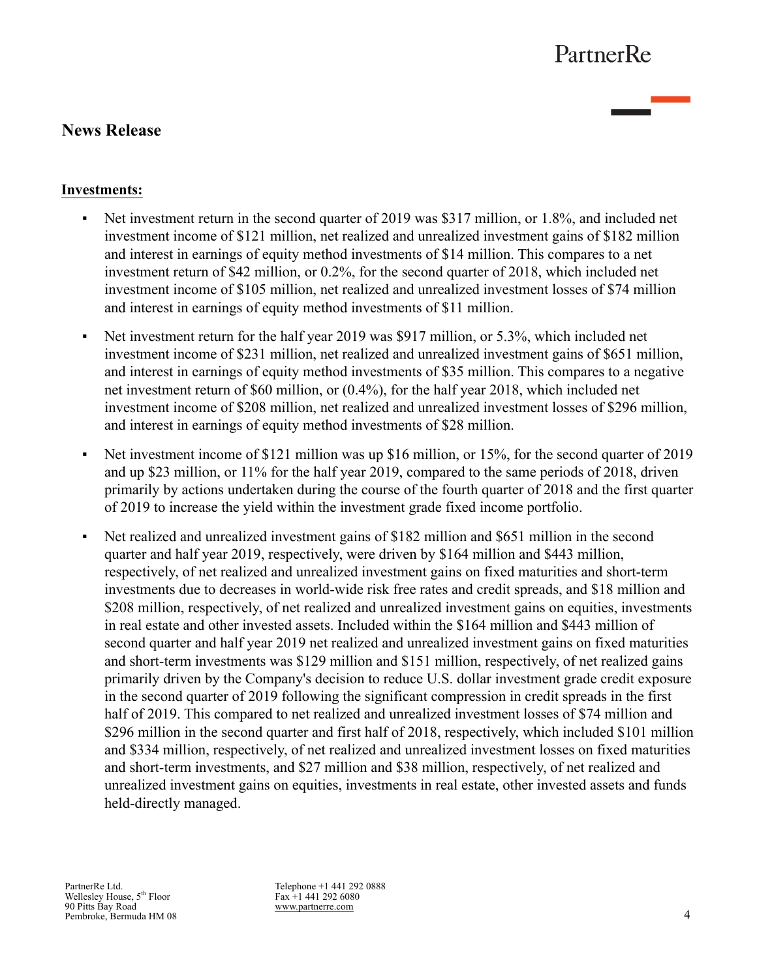## **News Release**

### **Investments:**

- Net investment return in the second quarter of 2019 was \$317 million, or 1.8%, and included net investment income of \$121 million, net realized and unrealized investment gains of \$182 million and interest in earnings of equity method investments of \$14 million. This compares to a net investment return of \$42 million, or 0.2%, for the second quarter of 2018, which included net investment income of \$105 million, net realized and unrealized investment losses of \$74 million and interest in earnings of equity method investments of \$11 million.
- Net investment return for the half year 2019 was \$917 million, or 5.3%, which included net investment income of \$231 million, net realized and unrealized investment gains of \$651 million, and interest in earnings of equity method investments of \$35 million. This compares to a negative net investment return of \$60 million, or (0.4%), for the half year 2018, which included net investment income of \$208 million, net realized and unrealized investment losses of \$296 million, and interest in earnings of equity method investments of \$28 million.
- Net investment income of \$121 million was up \$16 million, or 15%, for the second quarter of 2019 and up \$23 million, or 11% for the half year 2019, compared to the same periods of 2018, driven primarily by actions undertaken during the course of the fourth quarter of 2018 and the first quarter of 2019 to increase the yield within the investment grade fixed income portfolio.
- Net realized and unrealized investment gains of \$182 million and \$651 million in the second quarter and half year 2019, respectively, were driven by \$164 million and \$443 million, respectively, of net realized and unrealized investment gains on fixed maturities and short-term investments due to decreases in world-wide risk free rates and credit spreads, and \$18 million and \$208 million, respectively, of net realized and unrealized investment gains on equities, investments in real estate and other invested assets. Included within the \$164 million and \$443 million of second quarter and half year 2019 net realized and unrealized investment gains on fixed maturities and short-term investments was \$129 million and \$151 million, respectively, of net realized gains primarily driven by the Company's decision to reduce U.S. dollar investment grade credit exposure in the second quarter of 2019 following the significant compression in credit spreads in the first half of 2019. This compared to net realized and unrealized investment losses of \$74 million and \$296 million in the second quarter and first half of 2018, respectively, which included \$101 million and \$334 million, respectively, of net realized and unrealized investment losses on fixed maturities and short-term investments, and \$27 million and \$38 million, respectively, of net realized and unrealized investment gains on equities, investments in real estate, other invested assets and funds held-directly managed.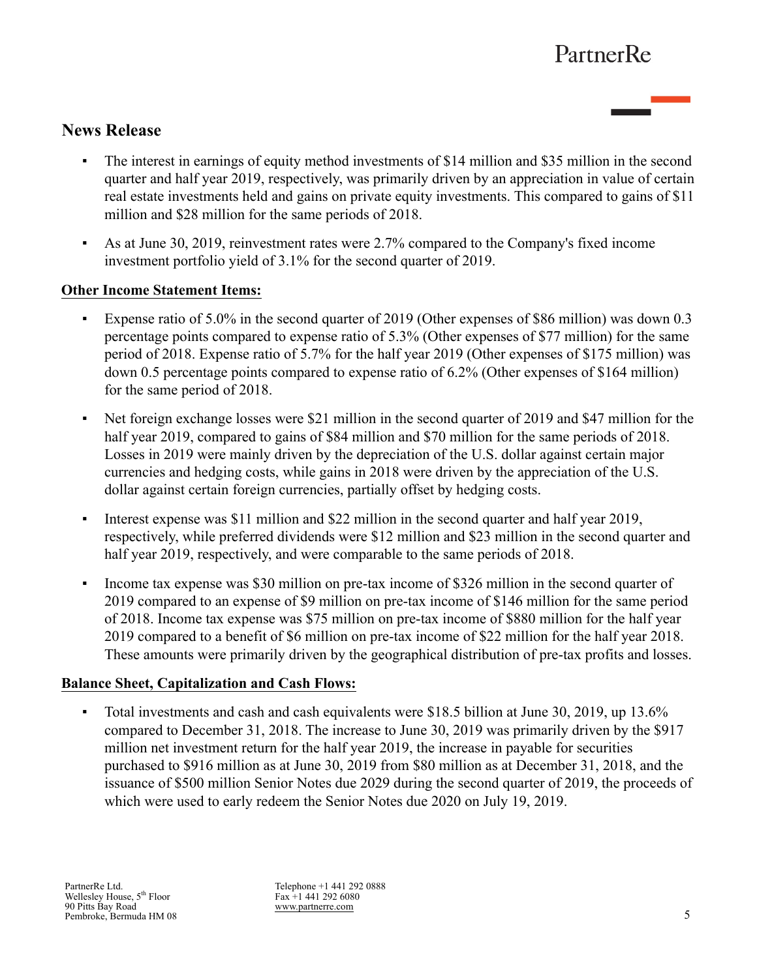## **News Release**

- The interest in earnings of equity method investments of \$14 million and \$35 million in the second quarter and half year 2019, respectively, was primarily driven by an appreciation in value of certain real estate investments held and gains on private equity investments. This compared to gains of \$11 million and \$28 million for the same periods of 2018.
- As at June 30, 2019, reinvestment rates were 2.7% compared to the Company's fixed income investment portfolio yield of 3.1% for the second quarter of 2019.

#### **Other Income Statement Items:**

- Expense ratio of 5.0% in the second quarter of 2019 (Other expenses of \$86 million) was down 0.3 percentage points compared to expense ratio of 5.3% (Other expenses of \$77 million) for the same period of 2018. Expense ratio of 5.7% for the half year 2019 (Other expenses of \$175 million) was down 0.5 percentage points compared to expense ratio of 6.2% (Other expenses of \$164 million) for the same period of 2018.
- Net foreign exchange losses were \$21 million in the second quarter of 2019 and \$47 million for the half year 2019, compared to gains of \$84 million and \$70 million for the same periods of 2018. Losses in 2019 were mainly driven by the depreciation of the U.S. dollar against certain major currencies and hedging costs, while gains in 2018 were driven by the appreciation of the U.S. dollar against certain foreign currencies, partially offset by hedging costs.
- Interest expense was \$11 million and \$22 million in the second quarter and half year 2019, respectively, while preferred dividends were \$12 million and \$23 million in the second quarter and half year 2019, respectively, and were comparable to the same periods of 2018.
- Income tax expense was \$30 million on pre-tax income of \$326 million in the second quarter of 2019 compared to an expense of \$9 million on pre-tax income of \$146 million for the same period of 2018. Income tax expense was \$75 million on pre-tax income of \$880 million for the half year 2019 compared to a benefit of \$6 million on pre-tax income of \$22 million for the half year 2018. These amounts were primarily driven by the geographical distribution of pre-tax profits and losses.

#### **Balance Sheet, Capitalization and Cash Flows:**

▪ Total investments and cash and cash equivalents were \$18.5 billion at June 30, 2019, up 13.6% compared to December 31, 2018. The increase to June 30, 2019 was primarily driven by the \$917 million net investment return for the half year 2019, the increase in payable for securities purchased to \$916 million as at June 30, 2019 from \$80 million as at December 31, 2018, and the issuance of \$500 million Senior Notes due 2029 during the second quarter of 2019, the proceeds of which were used to early redeem the Senior Notes due 2020 on July 19, 2019.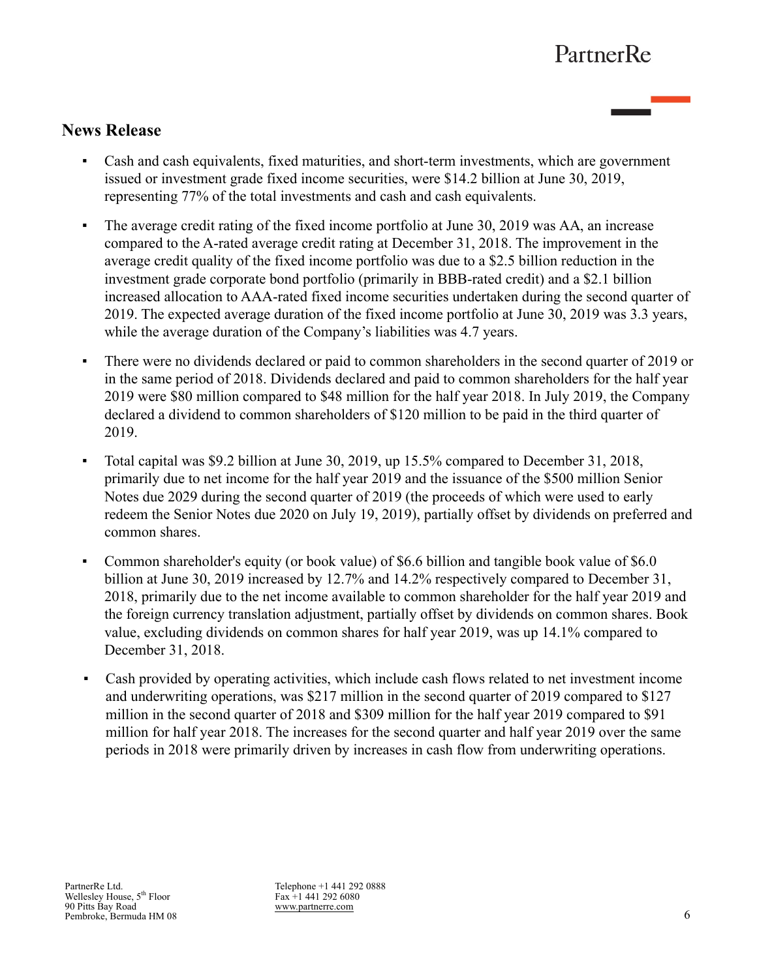## **News Release**

- Cash and cash equivalents, fixed maturities, and short-term investments, which are government issued or investment grade fixed income securities, were \$14.2 billion at June 30, 2019, representing 77% of the total investments and cash and cash equivalents.
- The average credit rating of the fixed income portfolio at June 30, 2019 was AA, an increase compared to the A-rated average credit rating at December 31, 2018. The improvement in the average credit quality of the fixed income portfolio was due to a \$2.5 billion reduction in the investment grade corporate bond portfolio (primarily in BBB-rated credit) and a \$2.1 billion increased allocation to AAA-rated fixed income securities undertaken during the second quarter of 2019. The expected average duration of the fixed income portfolio at June 30, 2019 was 3.3 years, while the average duration of the Company's liabilities was 4.7 years.
- There were no dividends declared or paid to common shareholders in the second quarter of 2019 or in the same period of 2018. Dividends declared and paid to common shareholders for the half year 2019 were \$80 million compared to \$48 million for the half year 2018. In July 2019, the Company declared a dividend to common shareholders of \$120 million to be paid in the third quarter of 2019.
- Total capital was \$9.2 billion at June 30, 2019, up 15.5% compared to December 31, 2018, primarily due to net income for the half year 2019 and the issuance of the \$500 million Senior Notes due 2029 during the second quarter of 2019 (the proceeds of which were used to early redeem the Senior Notes due 2020 on July 19, 2019), partially offset by dividends on preferred and common shares.
- Common shareholder's equity (or book value) of \$6.6 billion and tangible book value of \$6.0 billion at June 30, 2019 increased by 12.7% and 14.2% respectively compared to December 31, 2018, primarily due to the net income available to common shareholder for the half year 2019 and the foreign currency translation adjustment, partially offset by dividends on common shares. Book value, excluding dividends on common shares for half year 2019, was up 14.1% compared to December 31, 2018.
- Cash provided by operating activities, which include cash flows related to net investment income and underwriting operations, was \$217 million in the second quarter of 2019 compared to \$127 million in the second quarter of 2018 and \$309 million for the half year 2019 compared to \$91 million for half year 2018. The increases for the second quarter and half year 2019 over the same periods in 2018 were primarily driven by increases in cash flow from underwriting operations.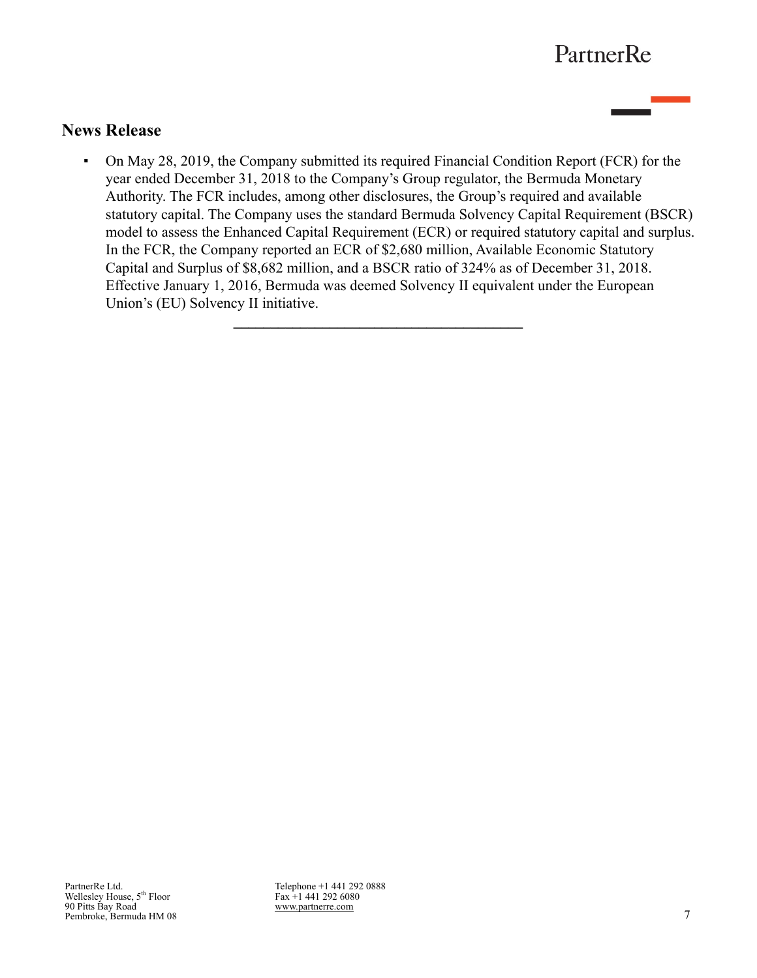### **News Release**

▪ On May 28, 2019, the Company submitted its required Financial Condition Report (FCR) for the year ended December 31, 2018 to the Company's Group regulator, the Bermuda Monetary Authority. The FCR includes, among other disclosures, the Group's required and available statutory capital. The Company uses the standard Bermuda Solvency Capital Requirement (BSCR) model to assess the Enhanced Capital Requirement (ECR) or required statutory capital and surplus. In the FCR, the Company reported an ECR of \$2,680 million, Available Economic Statutory Capital and Surplus of \$8,682 million, and a BSCR ratio of 324% as of December 31, 2018. Effective January 1, 2016, Bermuda was deemed Solvency II equivalent under the European Union's (EU) Solvency II initiative.

**\_\_\_\_\_\_\_\_\_\_\_\_\_\_\_\_\_\_\_\_\_\_\_\_\_\_\_\_\_\_\_\_\_\_\_\_\_\_\_**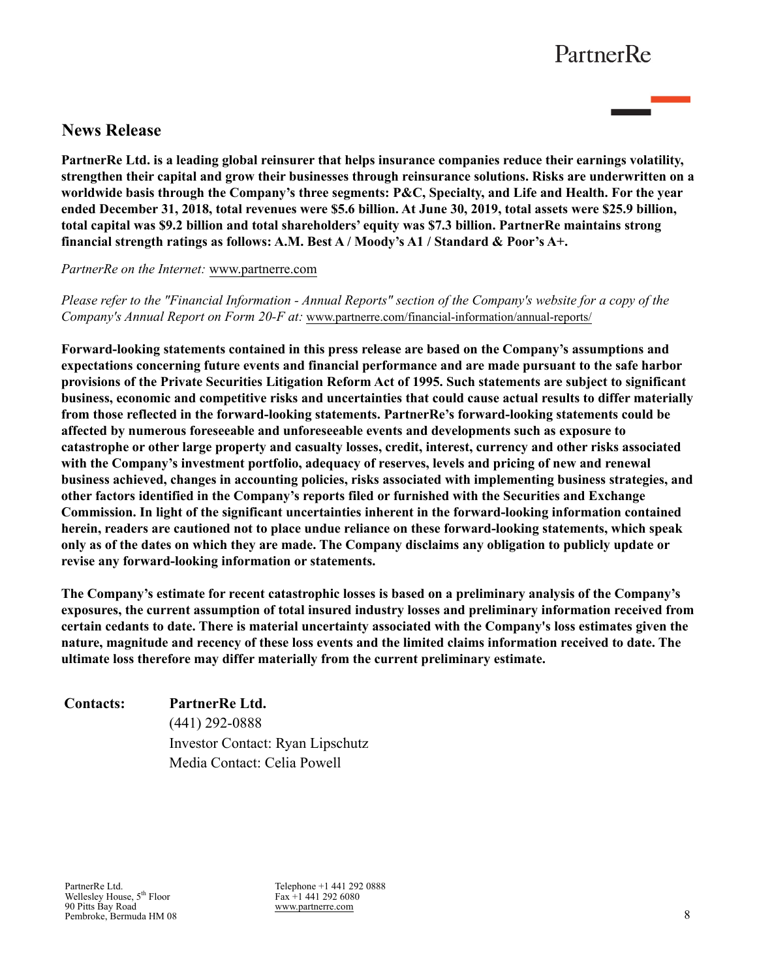## **News Release**

**PartnerRe Ltd. is a leading global reinsurer that helps insurance companies reduce their earnings volatility, strengthen their capital and grow their businesses through reinsurance solutions. Risks are underwritten on a worldwide basis through the Company's three segments: P&C, Specialty, and Life and Health. For the year ended December 31, 2018, total revenues were \$5.6 billion. At June 30, 2019, total assets were \$25.9 billion, total capital was \$9.2 billion and total shareholders' equity was \$7.3 billion. PartnerRe maintains strong financial strength ratings as follows: A.M. Best A / Moody's A1 / Standard & Poor's A+.** 

*PartnerRe on the Internet:* [www.partnerre.com](http://www.partnerre.com)

*Please refer to the "Financial Information - Annual Reports" section of the Company's website for a copy of the Company's Annual Report on Form 20-F at:* [www.partnerre.com/financial-information/annual-reports/](http://www.partnerre.com/financial-information/annual-reports/)

**Forward-looking statements contained in this press release are based on the Company's assumptions and expectations concerning future events and financial performance and are made pursuant to the safe harbor provisions of the Private Securities Litigation Reform Act of 1995. Such statements are subject to significant business, economic and competitive risks and uncertainties that could cause actual results to differ materially from those reflected in the forward-looking statements. PartnerRe's forward-looking statements could be affected by numerous foreseeable and unforeseeable events and developments such as exposure to catastrophe or other large property and casualty losses, credit, interest, currency and other risks associated with the Company's investment portfolio, adequacy of reserves, levels and pricing of new and renewal business achieved, changes in accounting policies, risks associated with implementing business strategies, and other factors identified in the Company's reports filed or furnished with the Securities and Exchange Commission. In light of the significant uncertainties inherent in the forward-looking information contained herein, readers are cautioned not to place undue reliance on these forward-looking statements, which speak only as of the dates on which they are made. The Company disclaims any obligation to publicly update or revise any forward-looking information or statements.** 

**The Company's estimate for recent catastrophic losses is based on a preliminary analysis of the Company's exposures, the current assumption of total insured industry losses and preliminary information received from certain cedants to date. There is material uncertainty associated with the Company's loss estimates given the nature, magnitude and recency of these loss events and the limited claims information received to date. The ultimate loss therefore may differ materially from the current preliminary estimate.**

| <b>Contacts:</b> | PartnerRe Ltd.                   |
|------------------|----------------------------------|
|                  | $(441)$ 292-0888                 |
|                  | Investor Contact: Ryan Lipschutz |
|                  | Media Contact: Celia Powell      |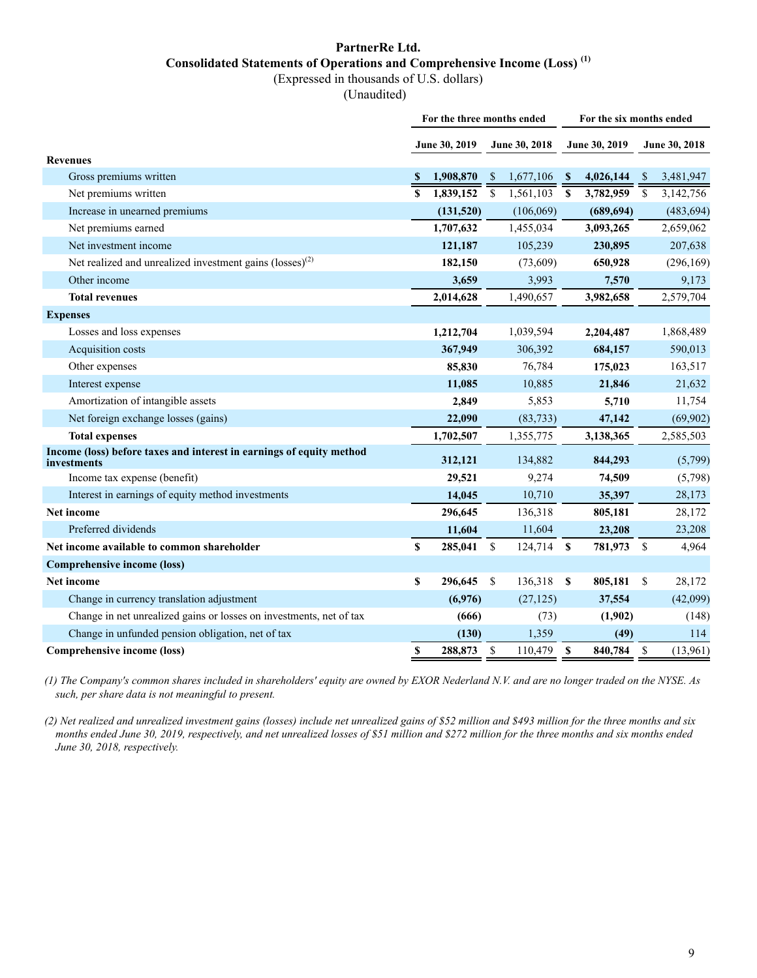### **PartnerRe Ltd. Consolidated Statements of Operations and Comprehensive Income (Loss) (1)**

(Expressed in thousands of U.S. dollars)

(Unaudited)

|                                                                                     | For the three months ended |               |                    |               |             | For the six months ended |              |               |
|-------------------------------------------------------------------------------------|----------------------------|---------------|--------------------|---------------|-------------|--------------------------|--------------|---------------|
|                                                                                     |                            | June 30, 2019 |                    | June 30, 2018 |             | June 30, 2019            |              | June 30, 2018 |
| <b>Revenues</b>                                                                     |                            |               |                    |               |             |                          |              |               |
| Gross premiums written                                                              | <b>S</b>                   | 1,908,870     | <sup>S</sup>       | 1,677,106     | S           | 4,026,144                | <sup>S</sup> | 3,481,947     |
| Net premiums written                                                                | S                          | 1,839,152     | $\mathbf{\hat{S}}$ | 1,561,103     | <b>S</b>    | 3,782,959                | \$           | 3,142,756     |
| Increase in unearned premiums                                                       |                            | (131,520)     |                    | (106,069)     |             | (689, 694)               |              | (483, 694)    |
| Net premiums earned                                                                 |                            | 1,707,632     |                    | 1,455,034     |             | 3,093,265                |              | 2,659,062     |
| Net investment income                                                               |                            | 121,187       |                    | 105,239       |             | 230,895                  |              | 207,638       |
| Net realized and unrealized investment gains (losses) <sup>(2)</sup>                |                            | 182,150       |                    | (73,609)      |             | 650,928                  |              | (296, 169)    |
| Other income                                                                        |                            | 3,659         |                    | 3,993         |             | 7,570                    |              | 9,173         |
| <b>Total revenues</b>                                                               |                            | 2,014,628     |                    | 1,490,657     |             | 3,982,658                |              | 2,579,704     |
| <b>Expenses</b>                                                                     |                            |               |                    |               |             |                          |              |               |
| Losses and loss expenses                                                            |                            | 1,212,704     |                    | 1,039,594     |             | 2,204,487                |              | 1,868,489     |
| Acquisition costs                                                                   |                            | 367,949       |                    | 306,392       |             | 684,157                  |              | 590,013       |
| Other expenses                                                                      |                            | 85,830        |                    | 76,784        |             | 175,023                  |              | 163,517       |
| Interest expense                                                                    |                            | 11,085        |                    | 10,885        |             | 21,846                   |              | 21,632        |
| Amortization of intangible assets                                                   |                            | 2,849         |                    | 5,853         |             | 5,710                    |              | 11,754        |
| Net foreign exchange losses (gains)                                                 |                            | 22,090        |                    | (83, 733)     |             | 47,142                   |              | (69,902)      |
| <b>Total expenses</b>                                                               |                            | 1,702,507     |                    | 1,355,775     |             | 3,138,365                |              | 2,585,503     |
| Income (loss) before taxes and interest in earnings of equity method<br>investments |                            | 312,121       |                    | 134,882       |             | 844,293                  |              | (5,799)       |
| Income tax expense (benefit)                                                        |                            | 29,521        |                    | 9,274         |             | 74,509                   |              | (5,798)       |
| Interest in earnings of equity method investments                                   |                            | 14,045        |                    | 10,710        |             | 35,397                   |              | 28,173        |
| Net income                                                                          |                            | 296,645       |                    | 136,318       |             | 805,181                  |              | 28,172        |
| Preferred dividends                                                                 |                            | 11,604        |                    | 11,604        |             | 23,208                   |              | 23,208        |
| Net income available to common shareholder                                          | \$                         | 285,041       | S                  | 124,714       | <b>S</b>    | 781,973                  | \$           | 4,964         |
| Comprehensive income (loss)                                                         |                            |               |                    |               |             |                          |              |               |
| <b>Net income</b>                                                                   | \$                         | 296,645       | S                  | 136,318       | $\mathbf s$ | 805,181                  | \$           | 28,172        |
| Change in currency translation adjustment                                           |                            | (6,976)       |                    | (27, 125)     |             | 37,554                   |              | (42,099)      |
| Change in net unrealized gains or losses on investments, net of tax                 |                            | (666)         |                    | (73)          |             | (1,902)                  |              | (148)         |
| Change in unfunded pension obligation, net of tax                                   |                            | (130)         |                    | 1,359         |             | (49)                     |              | 114           |
| Comprehensive income (loss)                                                         | \$                         | 288,873       | \$                 | 110,479       | \$          | 840,784                  | \$           | (13,961)      |

*(1) The Company's common shares included in shareholders' equity are owned by EXOR Nederland N.V. and are no longer traded on the NYSE. As such, per share data is not meaningful to present.*

*(2) Net realized and unrealized investment gains (losses) include net unrealized gains of \$52 million and \$493 million for the three months and six months ended June 30, 2019, respectively, and net unrealized losses of \$51 million and \$272 million for the three months and six months ended June 30, 2018, respectively.*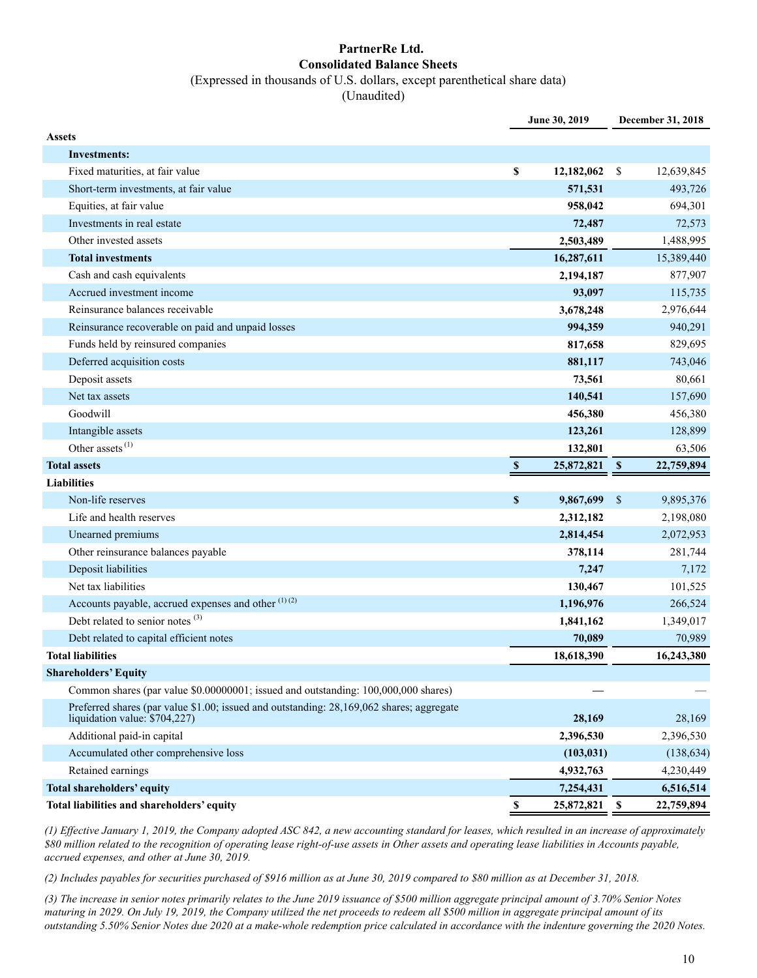#### **PartnerRe Ltd. Consolidated Balance Sheets** (Expressed in thousands of U.S. dollars, except parenthetical share data)

(Unaudited)

|                                                                                          |                    | June 30, 2019 |               | December 31, 2018 |
|------------------------------------------------------------------------------------------|--------------------|---------------|---------------|-------------------|
| <b>Assets</b>                                                                            |                    |               |               |                   |
| <b>Investments:</b>                                                                      |                    |               |               |                   |
| Fixed maturities, at fair value                                                          | \$                 | 12,182,062    | \$            | 12,639,845        |
| Short-term investments, at fair value                                                    |                    | 571,531       |               | 493,726           |
| Equities, at fair value                                                                  |                    | 958,042       |               | 694,301           |
| Investments in real estate                                                               |                    | 72,487        |               | 72,573            |
| Other invested assets                                                                    |                    | 2,503,489     |               | 1,488,995         |
| <b>Total investments</b>                                                                 |                    | 16,287,611    |               | 15,389,440        |
| Cash and cash equivalents                                                                |                    | 2,194,187     |               | 877,907           |
| Accrued investment income                                                                |                    | 93,097        |               | 115,735           |
| Reinsurance balances receivable                                                          |                    | 3,678,248     |               | 2,976,644         |
| Reinsurance recoverable on paid and unpaid losses                                        |                    | 994,359       |               | 940,291           |
| Funds held by reinsured companies                                                        |                    | 817,658       |               | 829,695           |
| Deferred acquisition costs                                                               |                    | 881,117       |               | 743,046           |
| Deposit assets                                                                           |                    | 73,561        |               | 80,661            |
| Net tax assets                                                                           |                    | 140,541       |               | 157,690           |
| Goodwill                                                                                 |                    | 456,380       |               | 456,380           |
| Intangible assets                                                                        |                    | 123,261       |               | 128,899           |
| Other assets $^{(1)}$                                                                    |                    | 132,801       |               | 63,506            |
| <b>Total assets</b>                                                                      | $\mathbf{s}$       | 25,872,821    | - \$          | 22,759,894        |
| <b>Liabilities</b>                                                                       |                    |               |               |                   |
| Non-life reserves                                                                        | $\pmb{\mathbb{S}}$ | 9,867,699     | $\mathbf{\$}$ | 9,895,376         |
| Life and health reserves                                                                 |                    | 2,312,182     |               | 2,198,080         |
| Unearned premiums                                                                        |                    | 2,814,454     |               | 2,072,953         |
| Other reinsurance balances payable                                                       |                    | 378,114       |               | 281,744           |
| Deposit liabilities                                                                      |                    | 7,247         |               | 7,172             |
| Net tax liabilities                                                                      |                    | 130,467       |               | 101,525           |
| Accounts payable, accrued expenses and other (1)(2)                                      |                    | 1,196,976     |               | 266,524           |
| Debt related to senior notes <sup>(3)</sup>                                              |                    | 1,841,162     |               | 1,349,017         |
| Debt related to capital efficient notes                                                  |                    | 70,089        |               | 70,989            |
| <b>Total liabilities</b>                                                                 |                    | 18,618,390    |               | 16,243,380        |
| <b>Shareholders' Equity</b>                                                              |                    |               |               |                   |
| Common shares (par value \$0.00000001; issued and outstanding: 100,000,000 shares)       |                    |               |               |                   |
| Preferred shares (par value \$1.00; issued and outstanding: 28,169,062 shares; aggregate |                    |               |               |                   |
| liquidation value: \$704,227)                                                            |                    | 28,169        |               | 28,169            |
| Additional paid-in capital                                                               |                    | 2,396,530     |               | 2,396,530         |
| Accumulated other comprehensive loss                                                     |                    | (103, 031)    |               | (138, 634)        |
| Retained earnings                                                                        |                    | 4,932,763     |               | 4,230,449         |
| <b>Total shareholders' equity</b>                                                        |                    | 7,254,431     |               | 6,516,514         |
| Total liabilities and shareholders' equity                                               | $\mathbb S$        | 25,872,821    | <b>S</b>      | 22,759,894        |

*(1) Effective January 1, 2019, the Company adopted ASC 842, a new accounting standard for leases, which resulted in an increase of approximately \$80 million related to the recognition of operating lease right-of-use assets in Other assets and operating lease liabilities in Accounts payable, accrued expenses, and other at June 30, 2019.*

*(2) Includes payables for securities purchased of \$916 million as at June 30, 2019 compared to \$80 million as at December 31, 2018.* 

*(3) The increase in senior notes primarily relates to the June 2019 issuance of \$500 million aggregate principal amount of 3.70% Senior Notes maturing in 2029. On July 19, 2019, the Company utilized the net proceeds to redeem all \$500 million in aggregate principal amount of its outstanding 5.50% Senior Notes due 2020 at a make-whole redemption price calculated in accordance with the indenture governing the 2020 Notes.*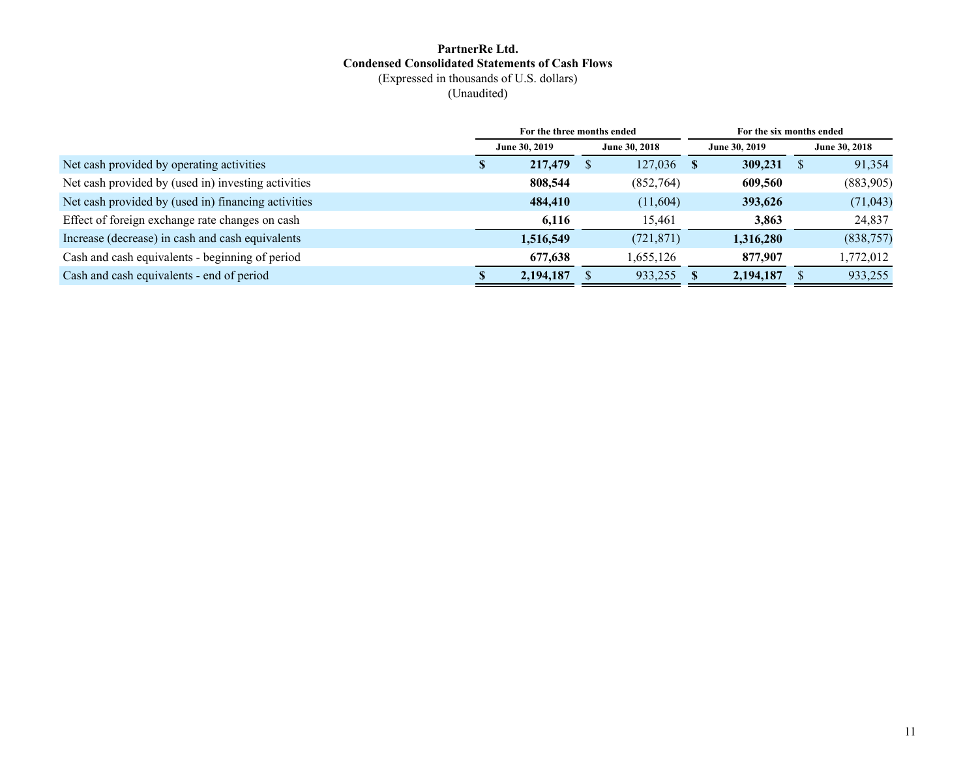#### **PartnerRe Ltd. Condensed Consolidated Statements of Cash Flows** (Expressed in thousands of U.S. dollars) (Unaudited)

|                                                     | For the three months ended     |           |  |               |               | For the six months ended |          |           |
|-----------------------------------------------------|--------------------------------|-----------|--|---------------|---------------|--------------------------|----------|-----------|
|                                                     | June 30, 2019<br>June 30, 2018 |           |  | June 30, 2019 |               | June 30, 2018            |          |           |
| Net cash provided by operating activities           | D.                             | 217,479   |  | 127,036       | <sup>\$</sup> | 309,231                  | <b>S</b> | 91,354    |
| Net cash provided by (used in) investing activities |                                | 808,544   |  | (852,764)     |               | 609,560                  |          | (883,905) |
| Net cash provided by (used in) financing activities |                                | 484,410   |  | (11,604)      |               | 393,626                  |          | (71, 043) |
| Effect of foreign exchange rate changes on cash     |                                | 6,116     |  | 15,461        |               | 3,863                    |          | 24,837    |
| Increase (decrease) in cash and cash equivalents    |                                | 1,516,549 |  | (721, 871)    |               | 1,316,280                |          | (838,757) |
| Cash and cash equivalents - beginning of period     |                                | 677,638   |  | 1,655,126     |               | 877,907                  |          | 1,772,012 |
| Cash and cash equivalents - end of period           |                                | 2,194,187 |  | 933,255       |               | 2,194,187                |          | 933,255   |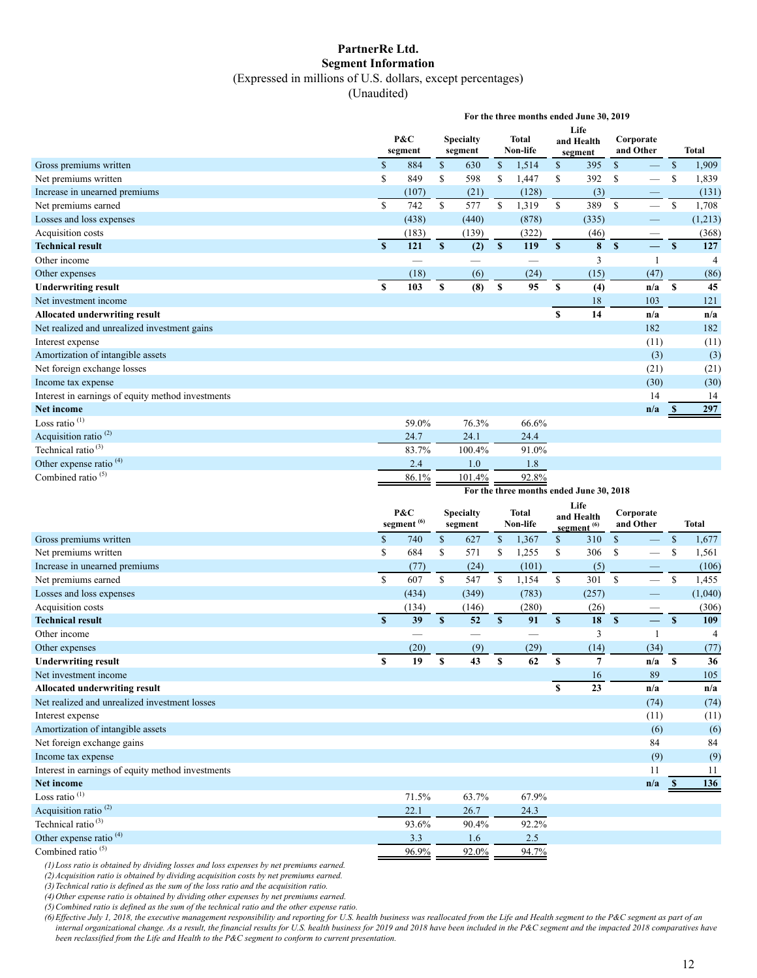#### **PartnerRe Ltd. Segment Information** (Expressed in millions of U.S. dollars, except percentages)

(Unaudited)

|                                                                      |                    |                          |               |                             |                         | For the three months ended June 30, 2019 |                    |                                     |                        |                          |                    |                       |
|----------------------------------------------------------------------|--------------------|--------------------------|---------------|-----------------------------|-------------------------|------------------------------------------|--------------------|-------------------------------------|------------------------|--------------------------|--------------------|-----------------------|
|                                                                      |                    | P&C                      |               | <b>Specialty</b>            | Total                   |                                          | Life<br>and Health |                                     | Corporate              |                          |                    |                       |
|                                                                      |                    | segment                  |               | segment                     |                         | Non-life                                 |                    | segment                             | and Other              |                          |                    | <b>Total</b>          |
| Gross premiums written                                               | $\mathcal{S}$      | 884                      | $\mathsf{\$}$ | 630                         | $\mathbb{S}$            | 1,514                                    | $\mathbb{S}$       | 395                                 | $\mathbb{S}$           |                          | $\mathbb{S}$       | 1,909                 |
| Net premiums written                                                 | \$                 | 849                      | \$            | 598                         | \$                      | 1,447                                    | \$                 | 392                                 | \$                     |                          | \$                 | 1,839                 |
| Increase in unearned premiums                                        |                    | (107)                    |               | (21)                        |                         | (128)                                    |                    | (3)                                 |                        | —                        |                    | (131)                 |
| Net premiums earned                                                  | \$                 | 742                      | \$            | 577                         | \$                      | 1,319                                    | $\mathbb{S}$       | 389                                 | $\mathbb{S}$           | $\overline{\phantom{0}}$ | $\mathbb{S}$       | 1,708                 |
| Losses and loss expenses                                             |                    | (438)                    |               | (440)                       |                         | (878)                                    |                    | (335)                               |                        |                          |                    | (1,213)               |
| Acquisition costs                                                    |                    | (183)                    |               | (139)                       |                         | (322)                                    |                    | (46)                                |                        |                          |                    | (368)                 |
| <b>Technical result</b>                                              | $\pmb{\mathbb{S}}$ | 121                      | $\mathbf S$   | (2)                         | $\overline{\mathbf{s}}$ | 119                                      | $\pmb{\mathbb{S}}$ | 8                                   | $\mathbf{s}$           | $\equiv$                 | $\pmb{\mathbb{S}}$ | 127                   |
| Other income                                                         |                    | $\overline{\phantom{0}}$ |               |                             |                         | $\overline{\phantom{0}}$                 |                    | 3                                   |                        | $\mathbf{1}$             |                    | $\overline{4}$        |
| Other expenses                                                       |                    | (18)                     |               | (6)                         |                         | (24)                                     |                    | (15)                                |                        | (47)                     |                    | (86)                  |
| <b>Underwriting result</b>                                           | \$                 | 103                      | \$            | (8)                         | \$                      | 95                                       | \$                 | (4)                                 |                        | n/a                      | S                  | 45                    |
| Net investment income                                                |                    |                          |               |                             |                         |                                          |                    | 18                                  |                        | 103                      |                    | 121                   |
| Allocated underwriting result                                        |                    |                          |               |                             |                         |                                          | \$                 | 14                                  |                        | n/a                      |                    | n/a                   |
| Net realized and unrealized investment gains                         |                    |                          |               |                             |                         |                                          |                    |                                     |                        | 182                      |                    | 182                   |
| Interest expense                                                     |                    |                          |               |                             |                         |                                          |                    |                                     |                        | (11)                     |                    | (11)                  |
| Amortization of intangible assets                                    |                    |                          |               |                             |                         |                                          |                    |                                     |                        | (3)                      |                    | (3)                   |
| Net foreign exchange losses                                          |                    |                          |               |                             |                         |                                          |                    |                                     |                        | (21)                     |                    | (21)                  |
| Income tax expense                                                   |                    |                          |               |                             |                         |                                          |                    |                                     |                        | (30)                     |                    | (30)                  |
| Interest in earnings of equity method investments                    |                    |                          |               |                             |                         |                                          |                    |                                     |                        | 14                       |                    | 14                    |
| <b>Net income</b>                                                    |                    |                          |               |                             |                         |                                          |                    |                                     |                        | n/a                      | - \$               | 297                   |
| Loss ratio <sup>(1)</sup>                                            |                    | 59.0%                    |               | 76.3%                       |                         | 66.6%                                    |                    |                                     |                        |                          |                    |                       |
| Acquisition ratio <sup>(2)</sup>                                     |                    | 24.7                     |               | 24.1                        |                         | 24.4                                     |                    |                                     |                        |                          |                    |                       |
| Technical ratio <sup>(3)</sup>                                       |                    | 83.7%                    |               | 100.4%                      |                         | 91.0%                                    |                    |                                     |                        |                          |                    |                       |
| Other expense ratio <sup>(4)</sup>                                   |                    | 2.4                      |               | $1.0\,$                     |                         | 1.8                                      |                    |                                     |                        |                          |                    |                       |
|                                                                      |                    |                          |               |                             |                         |                                          |                    |                                     |                        |                          |                    |                       |
| Combined ratio $(5)$                                                 |                    | 86.1%                    |               | 101.4%                      |                         | 92.8%                                    |                    |                                     |                        |                          |                    |                       |
|                                                                      |                    |                          |               |                             |                         | For the three months ended June 30, 2018 |                    |                                     |                        |                          |                    |                       |
|                                                                      |                    |                          |               |                             |                         |                                          |                    | Life                                |                        |                          |                    |                       |
|                                                                      |                    | P&C                      |               | <b>Specialty</b><br>segment |                         | <b>Total</b><br>Non-life                 |                    | and Health                          | Corporate<br>and Other |                          |                    | <b>Total</b>          |
|                                                                      |                    | segment <sup>(6)</sup>   |               |                             |                         |                                          |                    | segment <sup><math>(6)</math></sup> |                        |                          |                    |                       |
| Gross premiums written                                               | $\mathbb{S}$<br>\$ | 740<br>684               | $\mathbb{S}$  | 627                         | $\mathbb{S}$            | 1,367                                    | \$<br>\$           | 310<br>306                          | $\mathbb{S}$           | $\overline{\phantom{0}}$ | $\mathcal{S}$      | 1,677                 |
| Net premiums written                                                 |                    |                          | \$            | 571                         | \$                      | 1,255                                    |                    |                                     | \$                     |                          | \$                 | 1,561                 |
| Increase in unearned premiums                                        |                    | (77)                     |               | (24)                        |                         | (101)                                    |                    | (5)                                 |                        |                          |                    | (106)                 |
| Net premiums earned                                                  | $\mathbb S$        | 607                      | $\mathbb{S}$  | 547                         | $\mathbb{S}$            | 1,154                                    | $\mathbb{S}$       | 301                                 | $\mathbb{S}$           | $\overline{\phantom{0}}$ | $\mathbb{S}$       | 1,455                 |
| Losses and loss expenses                                             |                    | (434)                    |               | (349)                       |                         | (783)                                    |                    | (257)                               |                        |                          |                    | (1,040)               |
| Acquisition costs<br><b>Technical result</b>                         | S                  | (134)<br>39              | $\mathbf{s}$  | (146)<br>52                 | $\mathbf{s}$            | (280)<br>91                              | $\mathbf{s}$       | (26)<br>18                          | $\mathbf{s}$           | $\equiv$                 | $\mathbf{s}$       | (306)                 |
|                                                                      |                    |                          |               |                             |                         |                                          |                    |                                     |                        | 1                        |                    | 109<br>$\overline{4}$ |
| Other income                                                         |                    |                          |               |                             |                         |                                          |                    | 3                                   |                        |                          |                    |                       |
| Other expenses                                                       | $\mathbf{s}$       | (20)<br>19               | $\mathbf{s}$  | (9)<br>43                   | $\mathbf{s}$            | (29)<br>62                               | S                  | (14)<br>7                           |                        | (34)                     |                    | (77)                  |
| <b>Underwriting result</b><br>Net investment income                  |                    |                          |               |                             |                         |                                          |                    |                                     |                        | $n/a$ \$                 |                    | 36                    |
|                                                                      |                    |                          |               |                             |                         |                                          | S                  | 16                                  |                        | 89                       |                    | 105                   |
| Allocated underwriting result                                        |                    |                          |               |                             |                         |                                          |                    | 23                                  |                        | n/a                      |                    | n/a                   |
| Net realized and unrealized investment losses                        |                    |                          |               |                             |                         |                                          |                    |                                     |                        | (74)                     |                    | (74)                  |
| Interest expense                                                     |                    |                          |               |                             |                         |                                          |                    |                                     |                        | (11)                     |                    | (11)                  |
| Amortization of intangible assets                                    |                    |                          |               |                             |                         |                                          |                    |                                     |                        | (6)                      |                    | (6)                   |
| Net foreign exchange gains                                           |                    |                          |               |                             |                         |                                          |                    |                                     |                        | 84                       |                    | 84                    |
| Income tax expense                                                   |                    |                          |               |                             |                         |                                          |                    |                                     |                        | (9)<br>11                |                    | (9)<br>11             |
| Interest in earnings of equity method investments<br>Net income      |                    |                          |               |                             |                         |                                          |                    |                                     |                        |                          | - \$               |                       |
|                                                                      |                    |                          |               |                             |                         |                                          |                    |                                     |                        | n/a                      |                    | 136                   |
| Loss ratio $(1)$                                                     |                    | 71.5%                    |               | 63.7%                       |                         | 67.9%                                    |                    |                                     |                        |                          |                    |                       |
| Acquisition ratio <sup>(2)</sup>                                     |                    | 22.1                     |               | 26.7                        |                         | 24.3                                     |                    |                                     |                        |                          |                    |                       |
| Technical ratio <sup>(3)</sup><br>Other expense ratio <sup>(4)</sup> |                    | 93.6%<br>3.3             |               | 90.4%<br>1.6                |                         | 92.2%<br>2.5                             |                    |                                     |                        |                          |                    |                       |

*(1)Loss ratio is obtained by dividing losses and loss expenses by net premiums earned.*

*(2)Acquisition ratio is obtained by dividing acquisition costs by net premiums earned.*

*(3)Technical ratio is defined as the sum of the loss ratio and the acquisition ratio.*

*(4)Other expense ratio is obtained by dividing other expenses by net premiums earned.*

*(5)Combined ratio is defined as the sum of the technical ratio and the other expense ratio.*

*(6)Effective July 1, 2018, the executive management responsibility and reporting for U.S. health business was reallocated from the Life and Health segment to the P&C segment as part of an internal organizational change. As a result, the financial results for U.S. health business for 2019 and 2018 have been included in the P&C segment and the impacted 2018 comparatives have been reclassified from the Life and Health to the P&C segment to conform to current presentation.*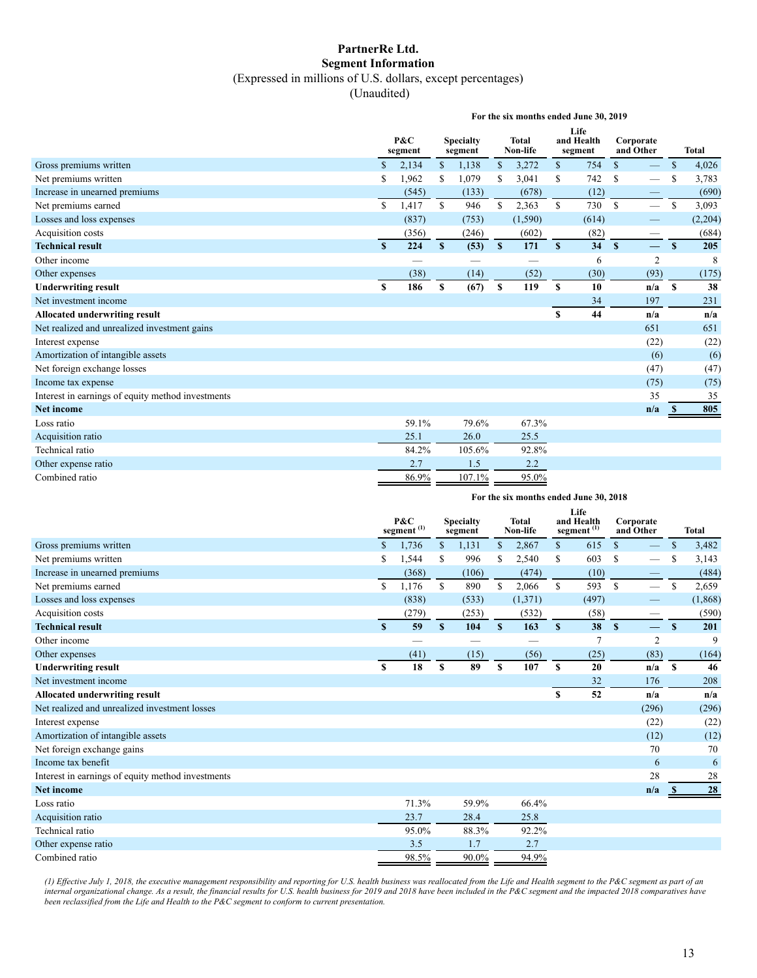#### **PartnerRe Ltd. Segment Information** (Expressed in millions of U.S. dollars, except percentages)

(Unaudited)

|                                                   | For the six months ended June 30, 2019 |                |              |                             |               |                   |              |                               |               |                          |               |              |
|---------------------------------------------------|----------------------------------------|----------------|--------------|-----------------------------|---------------|-------------------|--------------|-------------------------------|---------------|--------------------------|---------------|--------------|
|                                                   |                                        | P&C<br>segment |              | <b>Specialty</b><br>segment |               | Total<br>Non-life |              | Life<br>and Health<br>segment |               | Corporate<br>and Other   |               | <b>Total</b> |
| Gross premiums written                            | \$                                     | 2,134          | \$           | 1,138                       | <sup>\$</sup> | 3,272             | $\mathbb{S}$ | 754                           | $\mathbb{S}$  | $\qquad \qquad -$        | $\mathcal{S}$ | 4,026        |
| Net premiums written                              |                                        | 1,962          | S            | 1,079                       | \$.           | 3,041             | S            | 742                           | <sup>\$</sup> |                          | S             | 3,783        |
| Increase in unearned premiums                     |                                        | (545)          |              | (133)                       |               | (678)             |              | (12)                          |               |                          |               | (690)        |
| Net premiums earned                               | \$                                     | 1,417          | \$           | 946                         | \$            | 2,363             | \$           | 730                           | S             | $\overline{\phantom{0}}$ | <sup>\$</sup> | 3,093        |
| Losses and loss expenses                          |                                        | (837)          |              | (753)                       |               | (1,590)           |              | (614)                         |               |                          |               | (2,204)      |
| Acquisition costs                                 |                                        | (356)          |              | (246)                       |               | (602)             |              | (82)                          |               |                          |               | (684)        |
| <b>Technical result</b>                           | S                                      | 224            | $\mathbf{s}$ | (53)                        | $\mathbf{s}$  | 171               | S            | 34                            | $\mathbf{s}$  | $\overline{\phantom{0}}$ | $\mathbf{s}$  | 205          |
| Other income                                      |                                        |                |              |                             |               |                   |              | 6                             |               | $\overline{2}$           |               | 8            |
| Other expenses                                    |                                        | (38)           |              | (14)                        |               | (52)              |              | (30)                          |               | (93)                     |               | (175)        |
| <b>Underwriting result</b>                        | \$                                     | 186            | \$           | (67)                        | S             | 119               | S            | 10                            |               | n/a                      | $\mathbf{s}$  | 38           |
| Net investment income                             |                                        |                |              |                             |               |                   |              | 34                            |               | 197                      |               | 231          |
| <b>Allocated underwriting result</b>              |                                        |                |              |                             |               |                   | $\mathbf{s}$ | 44                            |               | n/a                      |               | n/a          |
| Net realized and unrealized investment gains      |                                        |                |              |                             |               |                   |              |                               |               | 651                      |               | 651          |
| Interest expense                                  |                                        |                |              |                             |               |                   |              |                               |               | (22)                     |               | (22)         |
| Amortization of intangible assets                 |                                        |                |              |                             |               |                   |              |                               |               | (6)                      |               | (6)          |
| Net foreign exchange losses                       |                                        |                |              |                             |               |                   |              |                               |               | (47)                     |               | (47)         |
| Income tax expense                                |                                        |                |              |                             |               |                   |              |                               |               | (75)                     |               | (75)         |
| Interest in earnings of equity method investments |                                        |                |              |                             |               |                   |              |                               |               | 35                       |               | 35           |
| <b>Net income</b>                                 |                                        |                |              |                             |               |                   |              |                               |               | n/a                      | - 35          | 805          |
| Loss ratio                                        |                                        | 59.1%          |              | 79.6%                       |               | 67.3%             |              |                               |               |                          |               |              |
| Acquisition ratio                                 |                                        | 25.1           |              | 26.0                        |               | 25.5              |              |                               |               |                          |               |              |
| Technical ratio                                   |                                        | 84.2%          |              | 105.6%                      |               | 92.8%             |              |                               |               |                          |               |              |
| Other expense ratio                               |                                        | 2.7            |              | 1.5                         |               | 2.2               |              |                               |               |                          |               |              |
| Combined ratio                                    |                                        | 86.9%          |              | 107.1%                      |               | 95.0%             |              |                               |               |                          |               |              |
|                                                   |                                        |                |              |                             |               |                   |              |                               |               |                          |               |              |

| For the six months ended June 30, 2018 |  |  |  |  |  |  |
|----------------------------------------|--|--|--|--|--|--|
|----------------------------------------|--|--|--|--|--|--|

|                                                   |    | P&C<br>segment $^{\left(1\right)}$ |              | <b>Specialty</b><br>segment |               | <b>Total</b><br>Non-life |              | Life<br>and Health<br>segment <sup>(1)</sup> | and Other     | Corporate                |               | <b>Total</b> |
|---------------------------------------------------|----|------------------------------------|--------------|-----------------------------|---------------|--------------------------|--------------|----------------------------------------------|---------------|--------------------------|---------------|--------------|
| Gross premiums written                            | \$ | 1,736                              | \$           | 1,131                       | \$            | 2,867                    | $\mathbb{S}$ | 615                                          | $\mathbb{S}$  |                          | <sup>\$</sup> | 3,482        |
| Net premiums written                              | S  | 1,544                              | \$           | 996                         | S             | 2,540                    | \$           | 603                                          | S             |                          | S             | 3,143        |
| Increase in unearned premiums                     |    | (368)                              |              | (106)                       |               | (474)                    |              | (10)                                         |               |                          |               | (484)        |
| Net premiums earned                               | S  | 1,176                              | <sup>S</sup> | 890                         | <sup>\$</sup> | 2,066                    | S.           | 593                                          | <sup>\$</sup> |                          | \$            | 2,659        |
| Losses and loss expenses                          |    | (838)                              |              | (533)                       |               | (1,371)                  |              | (497)                                        |               |                          |               | (1, 868)     |
| Acquisition costs                                 |    | (279)                              |              | (253)                       |               | (532)                    |              | (58)                                         |               |                          |               | (590)        |
| <b>Technical result</b>                           | S  | 59                                 | $\mathbf{s}$ | 104                         | S             | 163                      | S            | 38                                           | $\mathbf{s}$  | $\overline{\phantom{0}}$ | $\mathbf{s}$  | 201          |
| Other income                                      |    |                                    |              |                             |               |                          |              | 7                                            |               | $\overline{2}$           |               | 9            |
| Other expenses                                    |    | (41)                               |              | (15)                        |               | (56)                     |              | (25)                                         |               | (83)                     |               | (164)        |
| <b>Underwriting result</b>                        | S  | 18                                 | \$           | 89                          | \$            | 107                      | S            | 20                                           |               | n/a                      | $\mathbf{s}$  | 46           |
| Net investment income                             |    |                                    |              |                             |               |                          |              | 32                                           |               | 176                      |               | 208          |
| <b>Allocated underwriting result</b>              |    |                                    |              |                             |               |                          | S            | 52                                           |               | n/a                      |               | n/a          |
| Net realized and unrealized investment losses     |    |                                    |              |                             |               |                          |              |                                              |               | (296)                    |               | (296)        |
| Interest expense                                  |    |                                    |              |                             |               |                          |              |                                              |               | (22)                     |               | (22)         |
| Amortization of intangible assets                 |    |                                    |              |                             |               |                          |              |                                              |               | (12)                     |               | (12)         |
| Net foreign exchange gains                        |    |                                    |              |                             |               |                          |              |                                              |               | 70                       |               | 70           |
| Income tax benefit                                |    |                                    |              |                             |               |                          |              |                                              |               | 6                        |               | 6            |
| Interest in earnings of equity method investments |    |                                    |              |                             |               |                          |              |                                              |               | 28                       |               | 28           |
| <b>Net income</b>                                 |    |                                    |              |                             |               |                          |              |                                              |               | n/a                      |               | 28           |
| Loss ratio                                        |    | 71.3%                              |              | 59.9%                       |               | 66.4%                    |              |                                              |               |                          |               |              |
| Acquisition ratio                                 |    | 23.7                               |              | 28.4                        |               | 25.8                     |              |                                              |               |                          |               |              |
| Technical ratio                                   |    | 95.0%                              |              | 88.3%                       |               | 92.2%                    |              |                                              |               |                          |               |              |
| Other expense ratio                               |    | 3.5                                |              | 1.7                         |               | 2.7                      |              |                                              |               |                          |               |              |
| Combined ratio                                    |    | 98.5%                              |              | 90.0%                       |               | 94.9%                    |              |                                              |               |                          |               |              |

*(1) Effective July 1, 2018, the executive management responsibility and reporting for U.S. health business was reallocated from the Life and Health segment to the P&C segment as part of an internal organizational change. As a result, the financial results for U.S. health business for 2019 and 2018 have been included in the P&C segment and the impacted 2018 comparatives have been reclassified from the Life and Health to the P&C segment to conform to current presentation.*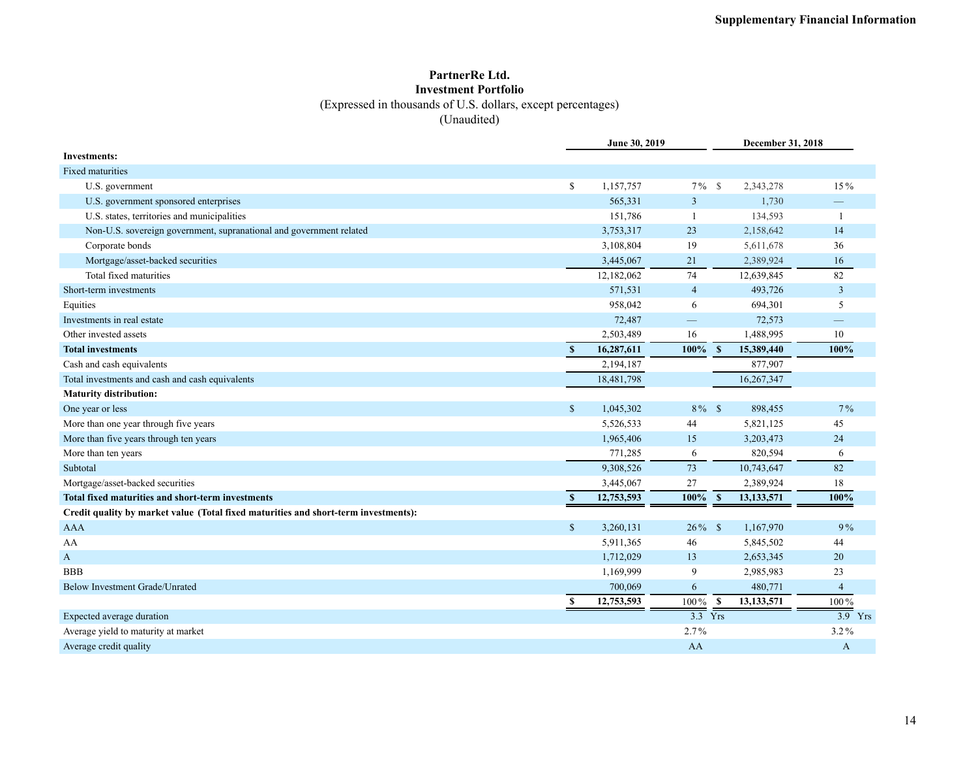#### **PartnerRe Ltd. Investment Portfolio** (Expressed in thousands of U.S. dollars, except percentages)

(Unaudited)

|                                                                                     |               | June 30, 2019 |                      | December 31, 2018            |                      |
|-------------------------------------------------------------------------------------|---------------|---------------|----------------------|------------------------------|----------------------|
| <b>Investments:</b>                                                                 |               |               |                      |                              |                      |
| <b>Fixed maturities</b>                                                             |               |               |                      |                              |                      |
| U.S. government                                                                     | $\mathbb{S}$  | 1,157,757     | $7\%$                | $\mathcal{S}$<br>2,343,278   | 15%                  |
| U.S. government sponsored enterprises                                               |               | 565,331       | 3                    | 1,730                        |                      |
| U.S. states, territories and municipalities                                         |               | 151,786       |                      | 134,593                      | $\mathbf{1}$         |
| Non-U.S. sovereign government, supranational and government related                 |               | 3,753,317     | 23                   | 2,158,642                    | 14                   |
| Corporate bonds                                                                     |               | 3,108,804     | 19                   | 5,611,678                    | 36                   |
| Mortgage/asset-backed securities                                                    |               | 3,445,067     | 21                   | 2,389,924                    | 16                   |
| Total fixed maturities                                                              |               | 12,182,062    | 74                   | 12,639,845                   | 82                   |
| Short-term investments                                                              |               | 571,531       | $\overline{4}$       | 493,726                      | $\mathbf{3}$         |
| Equities                                                                            |               | 958,042       | 6                    | 694,301                      | 5                    |
| Investments in real estate                                                          |               | 72,487        |                      | 72,573                       |                      |
| Other invested assets                                                               |               | 2,503,489     | 16                   | 1,488,995                    | 10                   |
| <b>Total investments</b>                                                            | $\mathbf{s}$  | 16,287,611    | 100%                 | 15,389,440<br>$\mathbf{s}$   | 100%                 |
| Cash and cash equivalents                                                           |               | 2,194,187     |                      | 877,907                      |                      |
| Total investments and cash and cash equivalents                                     |               | 18,481,798    |                      | 16,267,347                   |                      |
| <b>Maturity distribution:</b>                                                       |               |               |                      |                              |                      |
| One year or less                                                                    | $\mathbb{S}$  | 1,045,302     | $8\%$ \$             | 898,455                      | $7\%$                |
| More than one year through five years                                               |               | 5,526,533     | 44                   | 5,821,125                    | 45                   |
| More than five years through ten years                                              |               | 1,965,406     | 15                   | 3,203,473                    | 24                   |
| More than ten years                                                                 |               | 771,285       | 6                    | 820,594                      | 6                    |
| Subtotal                                                                            |               | 9,308,526     | 73                   | 10,743,647                   | 82                   |
| Mortgage/asset-backed securities                                                    |               | 3,445,067     | 27                   | 2,389,924                    | 18                   |
| Total fixed maturities and short-term investments                                   | <sup>\$</sup> | 12,753,593    | 100%                 | 13, 133, 571<br>$\mathbf{s}$ | 100%                 |
| Credit quality by market value (Total fixed maturities and short-term investments): |               |               |                      |                              |                      |
| <b>AAA</b>                                                                          | $\mathbb{S}$  | 3,260,131     | $26\%$ \$            | 1,167,970                    | 9%                   |
| AA                                                                                  |               | 5,911,365     | 46                   | 5,845,502                    | 44                   |
| A                                                                                   |               | 1,712,029     | 13                   | 2,653,345                    | 20                   |
| <b>BBB</b>                                                                          |               | 1,169,999     | 9                    | 2,985,983                    | 23                   |
| Below Investment Grade/Unrated                                                      |               | 700,069       | 6                    | 480,771                      | $\overline{4}$       |
|                                                                                     | S             | 12,753,593    | 100%                 | $\mathbf{s}$<br>13,133,571   | 100%                 |
| Expected average duration                                                           |               |               | $\overline{3.3}$ Yrs |                              | $\overline{3.9}$ Yrs |
| Average yield to maturity at market                                                 |               |               | 2.7%                 |                              | $3.2\%$              |
| Average credit quality                                                              |               |               | AA                   |                              | A                    |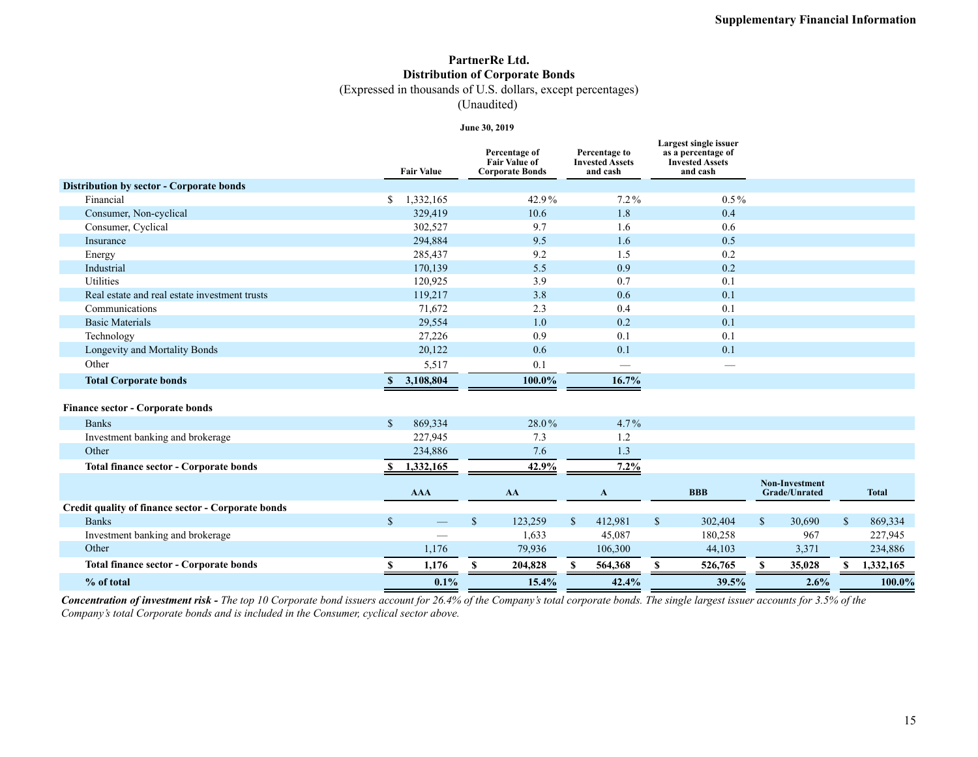### **PartnerRe Ltd. Distribution of Corporate Bonds**

(Expressed in thousands of U.S. dollars, except percentages)

(Unaudited)

**June 30, 2019**

|                                                    | <b>Fair Value</b>        | Percentage of<br><b>Fair Value of</b><br><b>Corporate Bonds</b> | Percentage to<br><b>Invested Assets</b><br>and cash | Largest single issuer<br>as a percentage of<br><b>Invested Assets</b><br>and cash |                                               |              |              |
|----------------------------------------------------|--------------------------|-----------------------------------------------------------------|-----------------------------------------------------|-----------------------------------------------------------------------------------|-----------------------------------------------|--------------|--------------|
| <b>Distribution by sector - Corporate bonds</b>    |                          |                                                                 |                                                     |                                                                                   |                                               |              |              |
| Financial                                          | 1,332,165<br>S.          | 42.9%                                                           | $7.2\%$                                             | $0.5\%$                                                                           |                                               |              |              |
| Consumer, Non-cyclical                             | 329,419                  | 10.6                                                            | 1.8                                                 | 0.4                                                                               |                                               |              |              |
| Consumer, Cyclical                                 | 302,527                  | 9.7                                                             | 1.6                                                 | 0.6                                                                               |                                               |              |              |
| Insurance                                          | 294,884                  | 9.5                                                             | 1.6                                                 | 0.5                                                                               |                                               |              |              |
| Energy                                             | 285,437                  | 9.2                                                             | 1.5                                                 | 0.2                                                                               |                                               |              |              |
| Industrial                                         | 170,139                  | 5.5                                                             | 0.9                                                 | 0.2                                                                               |                                               |              |              |
| Utilities                                          | 120,925                  | 3.9                                                             | 0.7                                                 | 0.1                                                                               |                                               |              |              |
| Real estate and real estate investment trusts      | 119,217                  | 3.8                                                             | 0.6                                                 | 0.1                                                                               |                                               |              |              |
| Communications                                     | 71,672                   | 2.3                                                             | 0.4                                                 | 0.1                                                                               |                                               |              |              |
| <b>Basic Materials</b>                             | 29,554                   | 1.0                                                             | 0.2                                                 | 0.1                                                                               |                                               |              |              |
| Technology                                         | 27,226                   | 0.9                                                             | 0.1                                                 | 0.1                                                                               |                                               |              |              |
| Longevity and Mortality Bonds                      | 20,122                   | 0.6                                                             | 0.1                                                 | 0.1                                                                               |                                               |              |              |
| Other                                              | 5,517                    | 0.1                                                             | $\qquad \qquad \longleftarrow$                      | $\overbrace{\phantom{aaaaa}}^{x}$                                                 |                                               |              |              |
| <b>Total Corporate bonds</b>                       | 3,108,804<br><b>S</b>    | 100.0%                                                          | 16.7%                                               |                                                                                   |                                               |              |              |
| <b>Finance sector - Corporate bonds</b>            |                          |                                                                 |                                                     |                                                                                   |                                               |              |              |
| <b>Banks</b>                                       | 869,334<br><sup>\$</sup> | 28.0%                                                           | $4.7\%$                                             |                                                                                   |                                               |              |              |
| Investment banking and brokerage                   | 227,945                  | 7.3                                                             | 1.2                                                 |                                                                                   |                                               |              |              |
| Other                                              | 234,886                  | 7.6                                                             | 1.3                                                 |                                                                                   |                                               |              |              |
| <b>Total finance sector - Corporate bonds</b>      | 1,332,165                | 42.9%                                                           | $7.2\%$                                             |                                                                                   |                                               |              |              |
|                                                    | <b>AAA</b>               | AA                                                              | A                                                   | <b>BBB</b>                                                                        | <b>Non-Investment</b><br><b>Grade/Unrated</b> |              | <b>Total</b> |
| Credit quality of finance sector - Corporate bonds |                          |                                                                 |                                                     |                                                                                   |                                               |              |              |
| <b>Banks</b>                                       | $\mathbb{S}$             | $\mathbb{S}$<br>123,259                                         | $\mathbb{S}$<br>412,981                             | $\mathbb{S}$<br>302,404                                                           | $\mathbb{S}$<br>30,690                        | $\mathbb{S}$ | 869,334      |
| Investment banking and brokerage                   |                          | 1,633                                                           | 45,087                                              | 180,258                                                                           | 967                                           |              | 227,945      |
| Other                                              | 1,176                    | 79,936                                                          | 106,300                                             | 44,103                                                                            | 3,371                                         |              | 234,886      |
| <b>Total finance sector - Corporate bonds</b>      | 1,176                    | 204,828<br>\$.                                                  | 564,368<br>S.                                       | 526,765<br>S                                                                      | 35,028<br>S.                                  | \$           | 1,332,165    |
| % of total                                         | 0.1%                     | 15.4%                                                           | 42.4%                                               | 39.5%                                                                             | 2.6%                                          |              | 100.0%       |
|                                                    |                          |                                                                 |                                                     |                                                                                   |                                               |              |              |

*Concentration of investment risk - The top 10 Corporate bond issuers account for 26.4% of the Company's total corporate bonds. The single largest issuer accounts for 3.5% of the Company's total Corporate bonds and is included in the Consumer, cyclical sector above.*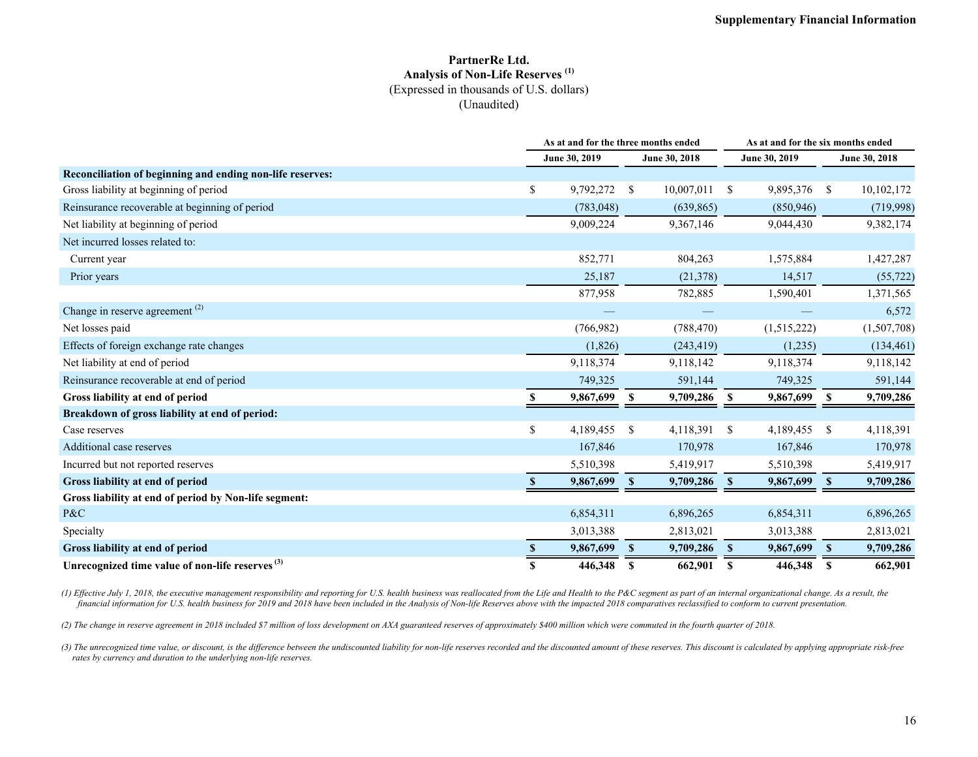#### **PartnerRe Ltd. Analysis of Non-Life Reserves (1)** (Expressed in thousands of U.S. dollars) (Unaudited)

|                                                             |          | As at and for the three months ended |               | As at and for the six months ended |              |               |               |               |
|-------------------------------------------------------------|----------|--------------------------------------|---------------|------------------------------------|--------------|---------------|---------------|---------------|
|                                                             |          | June 30, 2019                        |               | June 30, 2018                      |              | June 30, 2019 |               | June 30, 2018 |
| Reconciliation of beginning and ending non-life reserves:   |          |                                      |               |                                    |              |               |               |               |
| Gross liability at beginning of period                      | S.       | 9,792,272                            | <sup>S</sup>  | 10,007,011                         | -S           | 9,895,376     | <sup>\$</sup> | 10,102,172    |
| Reinsurance recoverable at beginning of period              |          | (783, 048)                           |               | (639, 865)                         |              | (850, 946)    |               | (719,998)     |
| Net liability at beginning of period                        |          | 9,009,224                            |               | 9,367,146                          |              | 9,044,430     |               | 9,382,174     |
| Net incurred losses related to:                             |          |                                      |               |                                    |              |               |               |               |
| Current year                                                |          | 852,771                              |               | 804,263                            |              | 1,575,884     |               | 1,427,287     |
| Prior years                                                 |          | 25,187                               |               | (21,378)                           |              | 14,517        |               | (55, 722)     |
|                                                             |          | 877,958                              |               | 782,885                            |              | 1,590,401     |               | 1,371,565     |
| Change in reserve agreement <sup>(2)</sup>                  |          |                                      |               |                                    |              |               |               | 6,572         |
| Net losses paid                                             |          | (766, 982)                           |               | (788, 470)                         |              | (1,515,222)   |               | (1,507,708)   |
| Effects of foreign exchange rate changes                    |          | (1,826)                              |               | (243, 419)                         |              | (1,235)       |               | (134, 461)    |
| Net liability at end of period                              |          | 9,118,374                            |               | 9,118,142                          |              | 9,118,374     |               | 9,118,142     |
| Reinsurance recoverable at end of period                    |          | 749,325                              |               | 591,144                            |              | 749,325       |               | 591,144       |
| Gross liability at end of period                            |          | 9,867,699                            | -S            | 9,709,286                          | - \$         | 9,867,699     | S             | 9,709,286     |
| Breakdown of gross liability at end of period:              |          |                                      |               |                                    |              |               |               |               |
| Case reserves                                               | S.       | 4,189,455                            | <sup>\$</sup> | 4,118,391                          | -S           | 4,189,455     | \$            | 4,118,391     |
| Additional case reserves                                    |          | 167,846                              |               | 170,978                            |              | 167,846       |               | 170,978       |
| Incurred but not reported reserves                          |          | 5,510,398                            |               | 5,419,917                          |              | 5,510,398     |               | 5,419,917     |
| Gross liability at end of period                            | <b>S</b> | 9,867,699                            | <sup>\$</sup> | 9,709,286                          | - \$         | 9,867,699     | <sup>S</sup>  | 9,709,286     |
| Gross liability at end of period by Non-life segment:       |          |                                      |               |                                    |              |               |               |               |
| P&C                                                         |          | 6,854,311                            |               | 6,896,265                          |              | 6,854,311     |               | 6,896,265     |
| Specialty                                                   |          | 3,013,388                            |               | 2,813,021                          |              | 3,013,388     |               | 2,813,021     |
| Gross liability at end of period                            |          | 9,867,699                            | <sup>S</sup>  | 9,709,286                          | $\mathbf{s}$ | 9,867,699     | $\mathbf{s}$  | 9,709,286     |
| Unrecognized time value of non-life reserves <sup>(3)</sup> | \$.      | 446,348                              | S             | 662,901                            | -S           | 446,348       | S             | 662,901       |

(1) Effective July 1, 2018, the executive management responsibility and reporting for U.S. health business was reallocated from the Life and Health to the P&C segment as part of an internal organizational change. As a resu *financial information for U.S. health business for 2019 and 2018 have been included in the Analysis of Non-life Reserves above with the impacted 2018 comparatives reclassified to conform to current presentation.* 

*(2) The change in reserve agreement in 2018 included \$7 million of loss development on AXA guaranteed reserves of approximately \$400 million which were commuted in the fourth quarter of 2018.*

(3) The unrecognized time value, or discount, is the difference between the undiscounted liability for non-life reserves recorded and the discounted amount of these reserves. This discount is calculated by applying appropr *rates by currency and duration to the underlying non-life reserves.*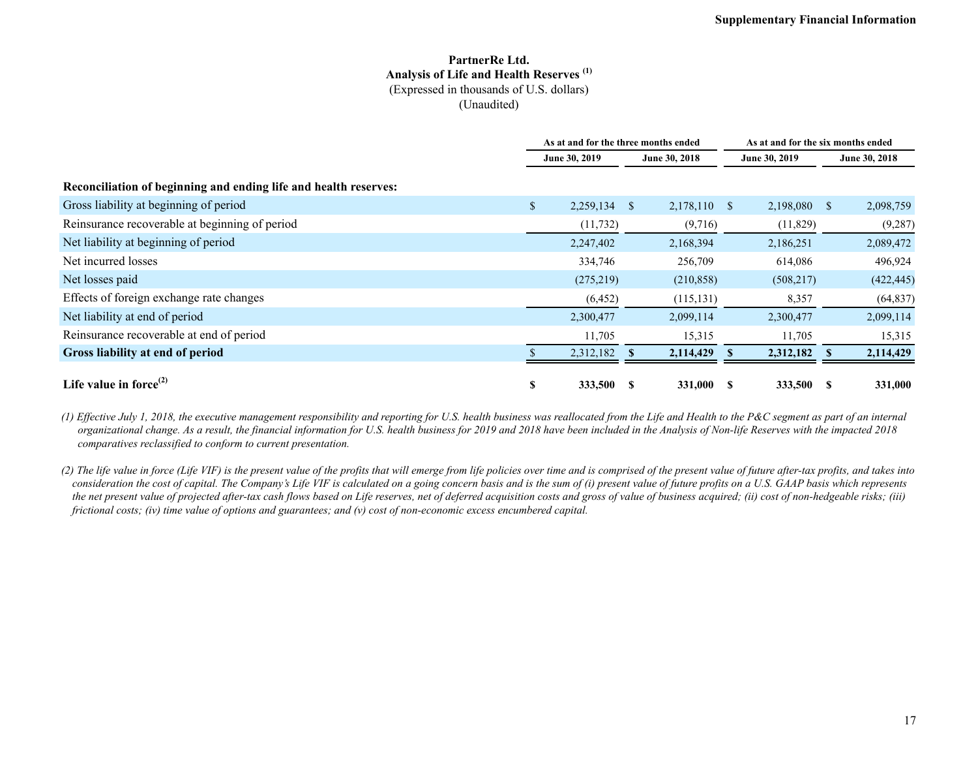#### **PartnerRe Ltd. Analysis of Life and Health Reserves (1)** (Expressed in thousands of U.S. dollars) (Unaudited)

|                                                                  | As at and for the three months ended |            |              |               |               | As at and for the six months ended |              |               |  |  |
|------------------------------------------------------------------|--------------------------------------|------------|--------------|---------------|---------------|------------------------------------|--------------|---------------|--|--|
|                                                                  | June 30, 2019                        |            |              | June 30, 2018 | June 30, 2019 |                                    |              | June 30, 2018 |  |  |
| Reconciliation of beginning and ending life and health reserves: |                                      |            |              |               |               |                                    |              |               |  |  |
| Gross liability at beginning of period                           | $\mathbb{S}$                         | 2,259,134  | <sup>S</sup> | 2,178,110 \$  |               | 2,198,080                          | <sup>S</sup> | 2,098,759     |  |  |
| Reinsurance recoverable at beginning of period                   |                                      | (11, 732)  |              | (9,716)       |               | (11, 829)                          |              | (9, 287)      |  |  |
| Net liability at beginning of period                             |                                      | 2,247,402  |              | 2,168,394     |               | 2,186,251                          |              | 2,089,472     |  |  |
| Net incurred losses                                              |                                      | 334,746    |              | 256,709       |               | 614,086                            |              | 496,924       |  |  |
| Net losses paid                                                  |                                      | (275, 219) |              | (210, 858)    |               | (508, 217)                         |              | (422, 445)    |  |  |
| Effects of foreign exchange rate changes                         |                                      | (6, 452)   |              | (115, 131)    |               | 8,357                              |              | (64, 837)     |  |  |
| Net liability at end of period                                   |                                      | 2,300,477  |              | 2,099,114     |               | 2,300,477                          |              | 2,099,114     |  |  |
| Reinsurance recoverable at end of period                         |                                      | 11,705     |              | 15,315        |               | 11,705                             |              | 15,315        |  |  |
| Gross liability at end of period                                 |                                      | 2,312,182  |              | 2,114,429     |               | 2,312,182                          |              | 2,114,429     |  |  |
| Life value in force $^{(2)}$                                     | \$                                   | 333,500    | S            | 331,000       | - SS          | 333,500                            | -S           | 331,000       |  |  |

*(1) Effective July 1, 2018, the executive management responsibility and reporting for U.S. health business was reallocated from the Life and Health to the P&C segment as part of an internal organizational change. As a result, the financial information for U.S. health business for 2019 and 2018 have been included in the Analysis of Non-life Reserves with the impacted 2018 comparatives reclassified to conform to current presentation.* 

*(2) The life value in force (Life VIF) is the present value of the profits that will emerge from life policies over time and is comprised of the present value of future after-tax profits, and takes into consideration the cost of capital. The Company's Life VIF is calculated on a going concern basis and is the sum of (i) present value of future profits on a U.S. GAAP basis which represents the net present value of projected after-tax cash flows based on Life reserves, net of deferred acquisition costs and gross of value of business acquired; (ii) cost of non-hedgeable risks; (iii) frictional costs; (iv) time value of options and guarantees; and (v) cost of non-economic excess encumbered capital.*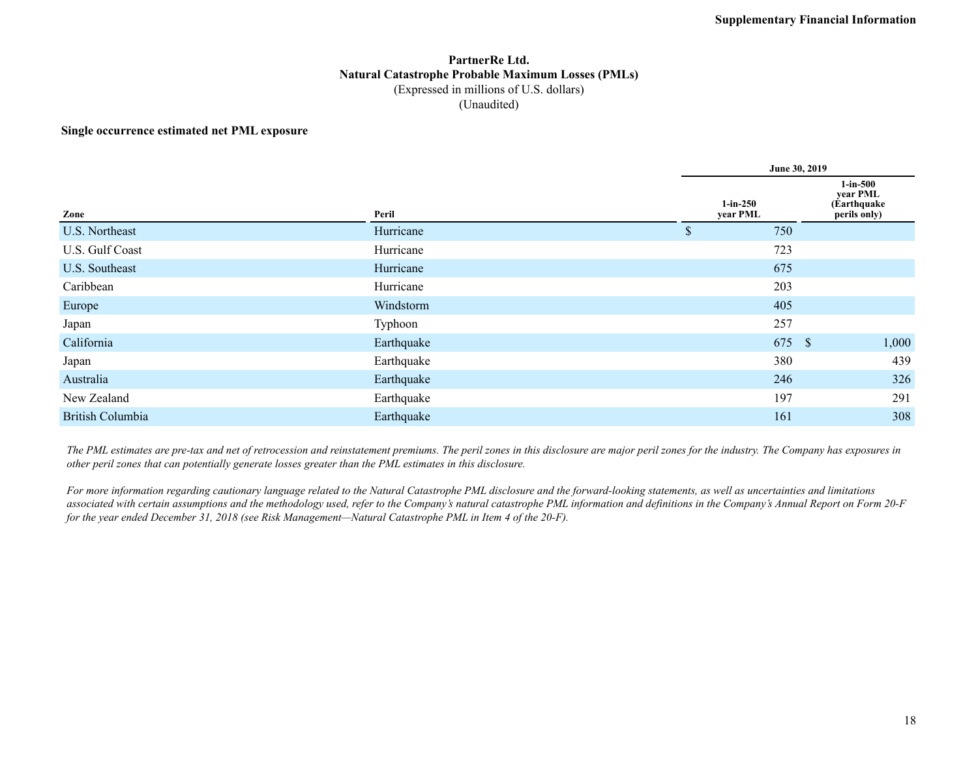#### **PartnerRe Ltd. Natural Catastrophe Probable Maximum Losses (PMLs)** (Expressed in millions of U.S. dollars) (Unaudited)

#### **Single occurrence estimated net PML exposure**

|                         |            | June 30, 2019          |        |                                                         |  |  |  |  |
|-------------------------|------------|------------------------|--------|---------------------------------------------------------|--|--|--|--|
| Zone                    | Peril      | $1-in-250$<br>year PML |        | $1$ -in-500<br>year PML<br>(Earthquake)<br>perils only) |  |  |  |  |
| U.S. Northeast          | Hurricane  | \$                     | 750    |                                                         |  |  |  |  |
| U.S. Gulf Coast         | Hurricane  |                        | 723    |                                                         |  |  |  |  |
| U.S. Southeast          | Hurricane  |                        | 675    |                                                         |  |  |  |  |
| Caribbean               | Hurricane  |                        | 203    |                                                         |  |  |  |  |
| Europe                  | Windstorm  |                        | 405    |                                                         |  |  |  |  |
| Japan                   | Typhoon    |                        | 257    |                                                         |  |  |  |  |
| California              | Earthquake |                        | 675 \$ | 1,000                                                   |  |  |  |  |
| Japan                   | Earthquake |                        | 380    | 439                                                     |  |  |  |  |
| Australia               | Earthquake |                        | 246    | 326                                                     |  |  |  |  |
| New Zealand             | Earthquake |                        | 197    | 291                                                     |  |  |  |  |
| <b>British Columbia</b> | Earthquake |                        | 161    | 308                                                     |  |  |  |  |

*The PML estimates are pre-tax and net of retrocession and reinstatement premiums. The peril zones in this disclosure are major peril zones for the industry. The Company has exposures in other peril zones that can potentially generate losses greater than the PML estimates in this disclosure.*

*For more information regarding cautionary language related to the Natural Catastrophe PML disclosure and the forward-looking statements, as well as uncertainties and limitations associated with certain assumptions and the methodology used, refer to the Company's natural catastrophe PML information and definitions in the Company's Annual Report on Form 20-F for the year ended December 31, 2018 (see Risk Management—Natural Catastrophe PML in Item 4 of the 20-F).*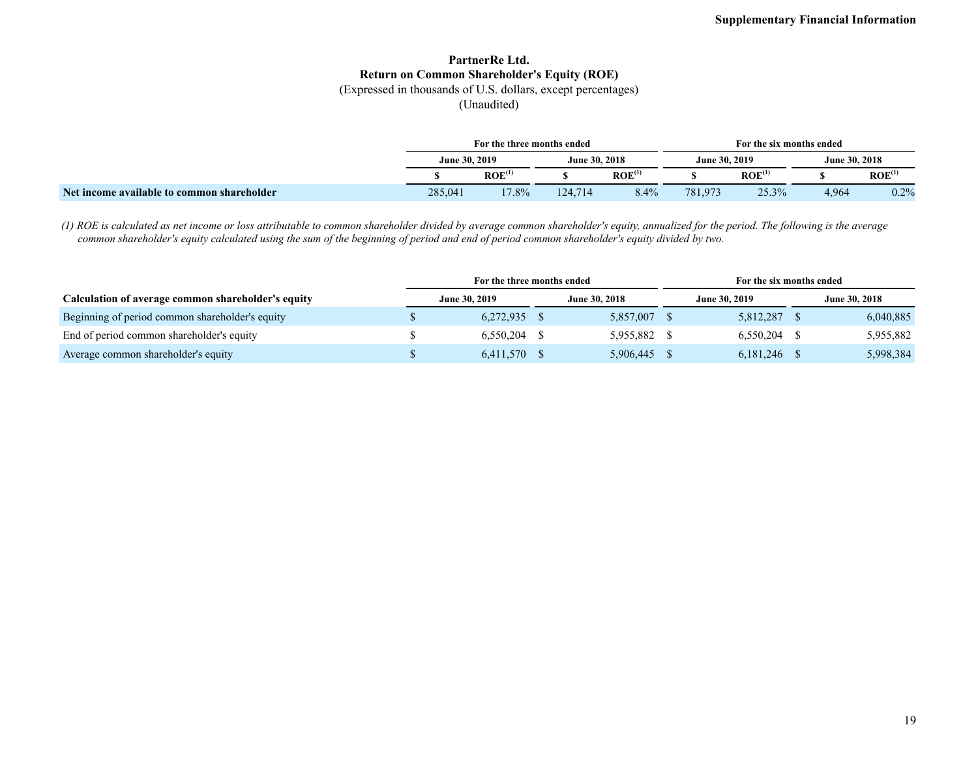### **PartnerRe Ltd. Return on Common Shareholder's Equity (ROE)**

(Expressed in thousands of U.S. dollars, except percentages)

(Unaudited)

|                                            | For the three months ended |                    |               |                    |                      | For the six months ended |               |                    |  |  |  |
|--------------------------------------------|----------------------------|--------------------|---------------|--------------------|----------------------|--------------------------|---------------|--------------------|--|--|--|
|                                            | June 30, 2019              |                    | June 30, 2018 |                    | <b>June 30, 2019</b> |                          | June 30, 2018 |                    |  |  |  |
|                                            |                            | ROE <sup>(1)</sup> |               | ROE <sup>(1)</sup> |                      | ROE <sup>(1)</sup>       |               | ROE <sup>(1)</sup> |  |  |  |
| Net income available to common shareholder | 285,041                    | $17.8\%$           | 124.714       | 8.4%               | 781,973              | 25.3%                    | 4.964         | 0.2%               |  |  |  |

*(1) ROE is calculated as net income or loss attributable to common shareholder divided by average common shareholder's equity, annualized for the period. The following is the average common shareholder's equity calculated using the sum of the beginning of period and end of period common shareholder's equity divided by two.*

|                                                    | For the three months ended |           |                      |           |                      | For the six months ended |                      |           |  |
|----------------------------------------------------|----------------------------|-----------|----------------------|-----------|----------------------|--------------------------|----------------------|-----------|--|
| Calculation of average common shareholder's equity | June 30, 2019              |           | <b>June 30, 2018</b> |           | <b>June 30, 2019</b> |                          | <b>June 30, 2018</b> |           |  |
| Beginning of period common shareholder's equity    |                            | 6,272,935 |                      | 5,857,007 |                      | 5,812,287                |                      | 6,040,885 |  |
| End of period common shareholder's equity          |                            | 6.550.204 |                      | 5.955.882 |                      | $6,550,204$ \$           |                      | 5,955,882 |  |
| Average common shareholder's equity                |                            | 6,411,570 |                      | 5,906,445 |                      | 6, 181, 246              |                      | 5,998,384 |  |